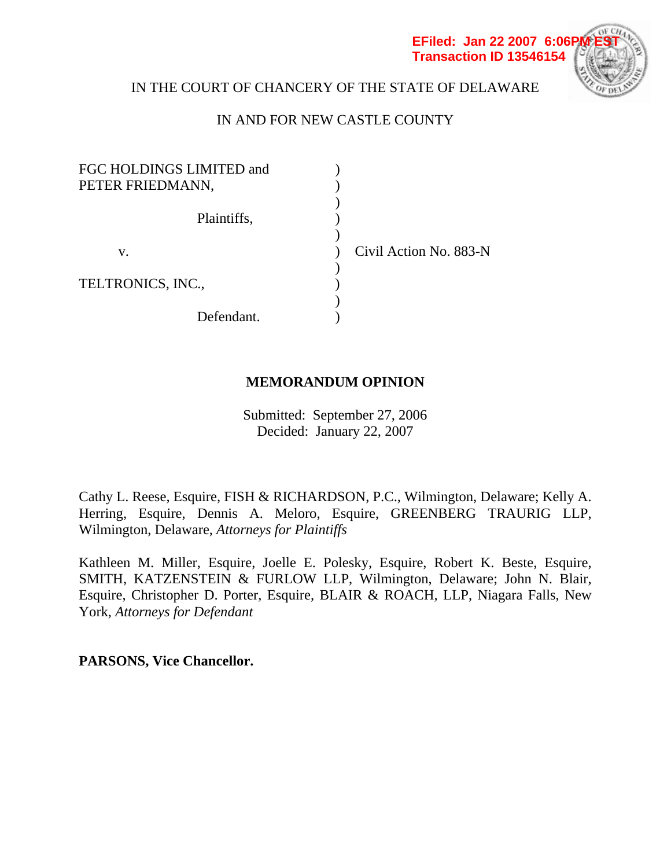

# IN THE COURT OF CHANCERY OF THE STATE OF DELAWARE

# IN AND FOR NEW CASTLE COUNTY

| FGC HOLDINGS LIMITED and<br>PETER FRIEDMANN, |                        |  |
|----------------------------------------------|------------------------|--|
| Plaintiffs,                                  |                        |  |
| V.                                           | Civil Action No. 883-N |  |
| TELTRONICS, INC.,                            |                        |  |
| Defendant.                                   |                        |  |

## **MEMORANDUM OPINION**

Submitted: September 27, 2006 Decided: January 22, 2007

Cathy L. Reese, Esquire, FISH & RICHARDSON, P.C., Wilmington, Delaware; Kelly A. Herring, Esquire, Dennis A. Meloro, Esquire, GREENBERG TRAURIG LLP, Wilmington, Delaware, *Attorneys for Plaintiffs*

Kathleen M. Miller, Esquire, Joelle E. Polesky, Esquire, Robert K. Beste, Esquire, SMITH, KATZENSTEIN & FURLOW LLP, Wilmington, Delaware; John N. Blair, Esquire, Christopher D. Porter, Esquire, BLAIR & ROACH, LLP, Niagara Falls, New York, *Attorneys for Defendant*

**PARSONS, Vice Chancellor.**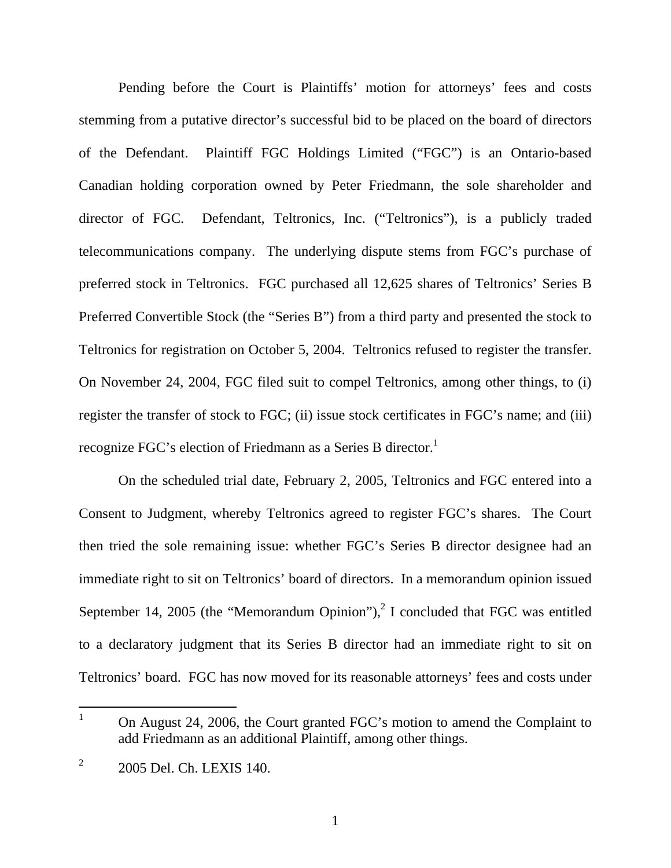Pending before the Court is Plaintiffs' motion for attorneys' fees and costs stemming from a putative director's successful bid to be placed on the board of directors of the Defendant. Plaintiff FGC Holdings Limited ("FGC") is an Ontario-based Canadian holding corporation owned by Peter Friedmann, the sole shareholder and director of FGC. Defendant, Teltronics, Inc. ("Teltronics"), is a publicly traded telecommunications company. The underlying dispute stems from FGC's purchase of preferred stock in Teltronics. FGC purchased all 12,625 shares of Teltronics' Series B Preferred Convertible Stock (the "Series B") from a third party and presented the stock to Teltronics for registration on October 5, 2004. Teltronics refused to register the transfer. On November 24, 2004, FGC filed suit to compel Teltronics, among other things, to (i) register the transfer of stock to FGC; (ii) issue stock certificates in FGC's name; and (iii) recognize FGC's election of Friedmann as a Series B director.<sup>1</sup>

 On the scheduled trial date, February 2, 2005, Teltronics and FGC entered into a Consent to Judgment, whereby Teltronics agreed to register FGC's shares. The Court then tried the sole remaining issue: whether FGC's Series B director designee had an immediate right to sit on Teltronics' board of directors. In a memorandum opinion issued September 14, 2005 (the "Memorandum Opinion"),<sup>2</sup> I concluded that FGC was entitled to a declaratory judgment that its Series B director had an immediate right to sit on Teltronics' board. FGC has now moved for its reasonable attorneys' fees and costs under

 $\overline{a}$ 

<sup>1</sup> On August 24, 2006, the Court granted FGC's motion to amend the Complaint to add Friedmann as an additional Plaintiff, among other things.

<sup>2</sup> 2005 Del. Ch. LEXIS 140.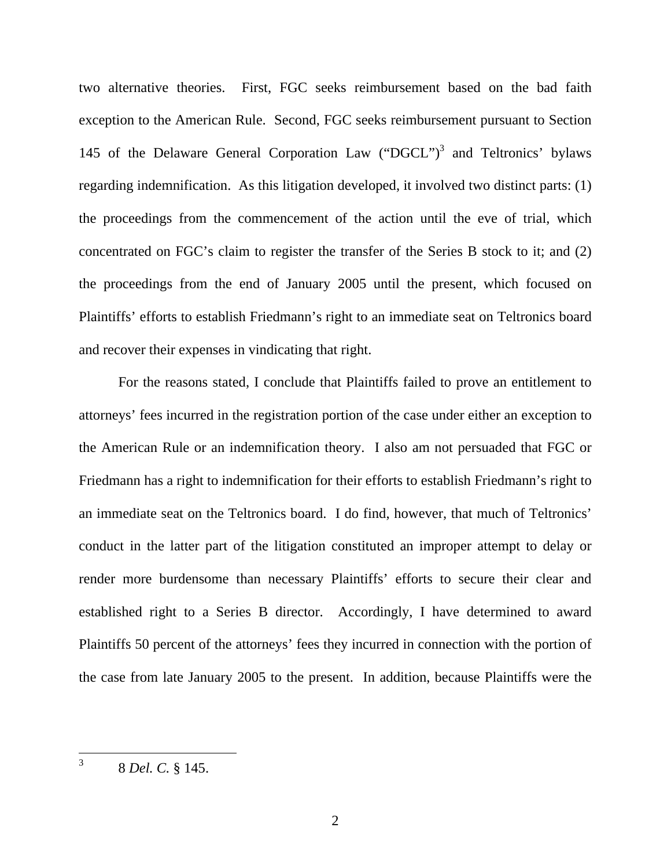two alternative theories. First, FGC seeks reimbursement based on the bad faith exception to the American Rule. Second, FGC seeks reimbursement pursuant to Section 145 of the Delaware General Corporation Law ("DGCL")<sup>3</sup> and Teltronics' bylaws regarding indemnification. As this litigation developed, it involved two distinct parts: (1) the proceedings from the commencement of the action until the eve of trial, which concentrated on FGC's claim to register the transfer of the Series B stock to it; and (2) the proceedings from the end of January 2005 until the present, which focused on Plaintiffs' efforts to establish Friedmann's right to an immediate seat on Teltronics board and recover their expenses in vindicating that right.

 For the reasons stated, I conclude that Plaintiffs failed to prove an entitlement to attorneys' fees incurred in the registration portion of the case under either an exception to the American Rule or an indemnification theory. I also am not persuaded that FGC or Friedmann has a right to indemnification for their efforts to establish Friedmann's right to an immediate seat on the Teltronics board. I do find, however, that much of Teltronics' conduct in the latter part of the litigation constituted an improper attempt to delay or render more burdensome than necessary Plaintiffs' efforts to secure their clear and established right to a Series B director. Accordingly, I have determined to award Plaintiffs 50 percent of the attorneys' fees they incurred in connection with the portion of the case from late January 2005 to the present. In addition, because Plaintiffs were the

<sup>3</sup> 8 *Del. C.* § 145.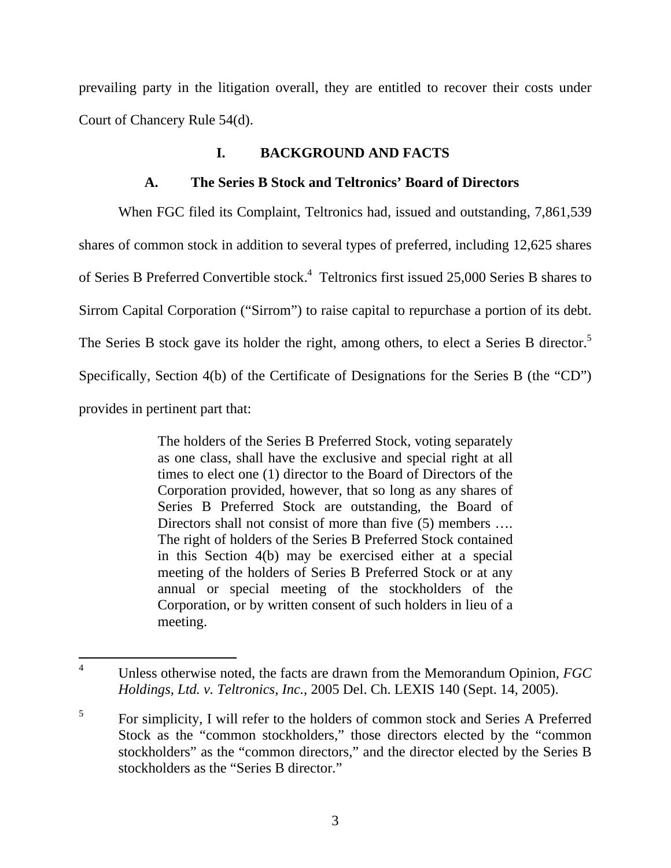prevailing party in the litigation overall, they are entitled to recover their costs under Court of Chancery Rule 54(d).

## **I. BACKGROUND AND FACTS**

# **A. The Series B Stock and Teltronics' Board of Directors**

When FGC filed its Complaint, Teltronics had, issued and outstanding, 7,861,539 shares of common stock in addition to several types of preferred, including 12,625 shares of Series B Preferred Convertible stock.<sup>4</sup> Teltronics first issued 25,000 Series B shares to Sirrom Capital Corporation ("Sirrom") to raise capital to repurchase a portion of its debt. The Series B stock gave its holder the right, among others, to elect a Series B director.<sup>5</sup> Specifically, Section 4(b) of the Certificate of Designations for the Series B (the "CD") provides in pertinent part that:

> The holders of the Series B Preferred Stock, voting separately as one class, shall have the exclusive and special right at all times to elect one (1) director to the Board of Directors of the Corporation provided, however, that so long as any shares of Series B Preferred Stock are outstanding, the Board of Directors shall not consist of more than five (5) members .... The right of holders of the Series B Preferred Stock contained in this Section 4(b) may be exercised either at a special meeting of the holders of Series B Preferred Stock or at any annual or special meeting of the stockholders of the Corporation, or by written consent of such holders in lieu of a meeting.

 $\overline{a}$ 4 Unless otherwise noted, the facts are drawn from the Memorandum Opinion, *FGC Holdings, Ltd. v. Teltronics, Inc.*, 2005 Del. Ch. LEXIS 140 (Sept. 14, 2005).

<sup>5</sup> For simplicity, I will refer to the holders of common stock and Series A Preferred Stock as the "common stockholders," those directors elected by the "common stockholders" as the "common directors," and the director elected by the Series B stockholders as the "Series B director."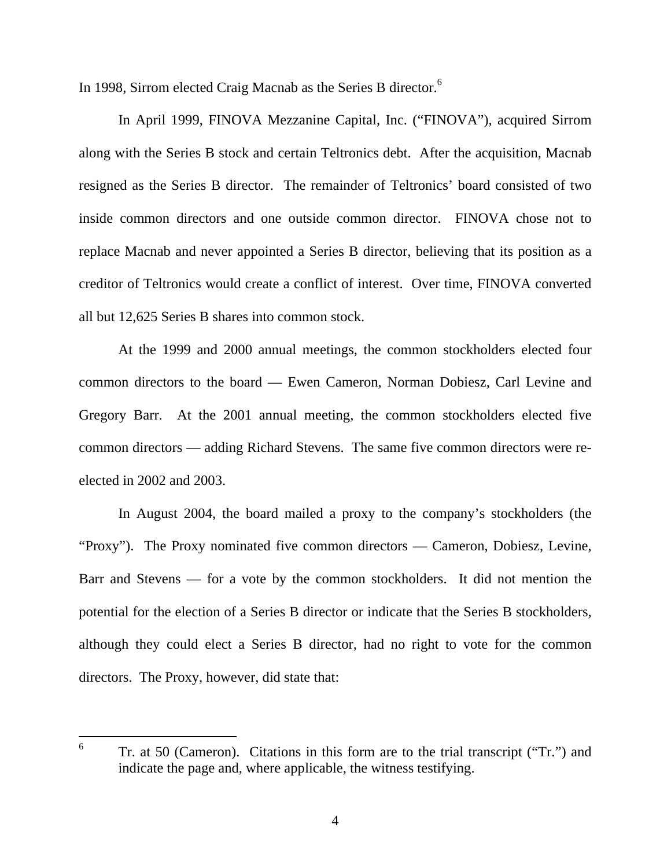In 1998, Sirrom elected Craig Macnab as the Series B director.<sup>6</sup>

In April 1999, FINOVA Mezzanine Capital, Inc. ("FINOVA"), acquired Sirrom along with the Series B stock and certain Teltronics debt. After the acquisition, Macnab resigned as the Series B director. The remainder of Teltronics' board consisted of two inside common directors and one outside common director. FINOVA chose not to replace Macnab and never appointed a Series B director, believing that its position as a creditor of Teltronics would create a conflict of interest. Over time, FINOVA converted all but 12,625 Series B shares into common stock.

At the 1999 and 2000 annual meetings, the common stockholders elected four common directors to the board — Ewen Cameron, Norman Dobiesz, Carl Levine and Gregory Barr. At the 2001 annual meeting, the common stockholders elected five common directors — adding Richard Stevens. The same five common directors were reelected in 2002 and 2003.

In August 2004, the board mailed a proxy to the company's stockholders (the "Proxy"). The Proxy nominated five common directors — Cameron, Dobiesz, Levine, Barr and Stevens — for a vote by the common stockholders. It did not mention the potential for the election of a Series B director or indicate that the Series B stockholders, although they could elect a Series B director, had no right to vote for the common directors. The Proxy, however, did state that:

<sup>6</sup> Tr. at 50 (Cameron). Citations in this form are to the trial transcript ("Tr.") and indicate the page and, where applicable, the witness testifying.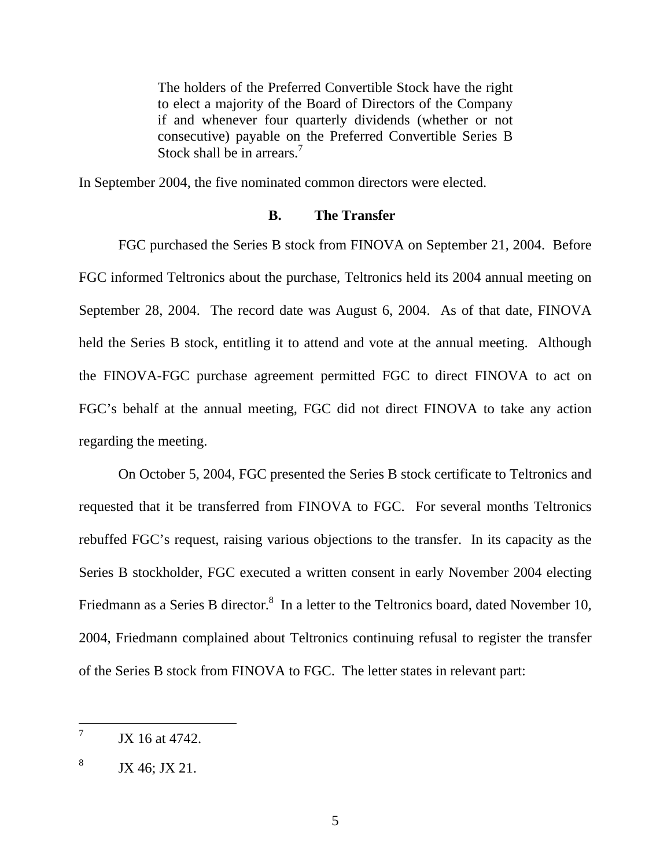The holders of the Preferred Convertible Stock have the right to elect a majority of the Board of Directors of the Company if and whenever four quarterly dividends (whether or not consecutive) payable on the Preferred Convertible Series B Stock shall be in arrears.<sup>7</sup>

In September 2004, the five nominated common directors were elected.

#### **B. The Transfer**

FGC purchased the Series B stock from FINOVA on September 21, 2004. Before FGC informed Teltronics about the purchase, Teltronics held its 2004 annual meeting on September 28, 2004. The record date was August 6, 2004. As of that date, FINOVA held the Series B stock, entitling it to attend and vote at the annual meeting. Although the FINOVA-FGC purchase agreement permitted FGC to direct FINOVA to act on FGC's behalf at the annual meeting, FGC did not direct FINOVA to take any action regarding the meeting.

On October 5, 2004, FGC presented the Series B stock certificate to Teltronics and requested that it be transferred from FINOVA to FGC. For several months Teltronics rebuffed FGC's request, raising various objections to the transfer. In its capacity as the Series B stockholder, FGC executed a written consent in early November 2004 electing Friedmann as a Series B director.<sup>8</sup> In a letter to the Teltronics board, dated November 10, 2004, Friedmann complained about Teltronics continuing refusal to register the transfer of the Series B stock from FINOVA to FGC. The letter states in relevant part:

<sup>7</sup> JX 16 at 4742.

<sup>8</sup> JX 46; JX 21.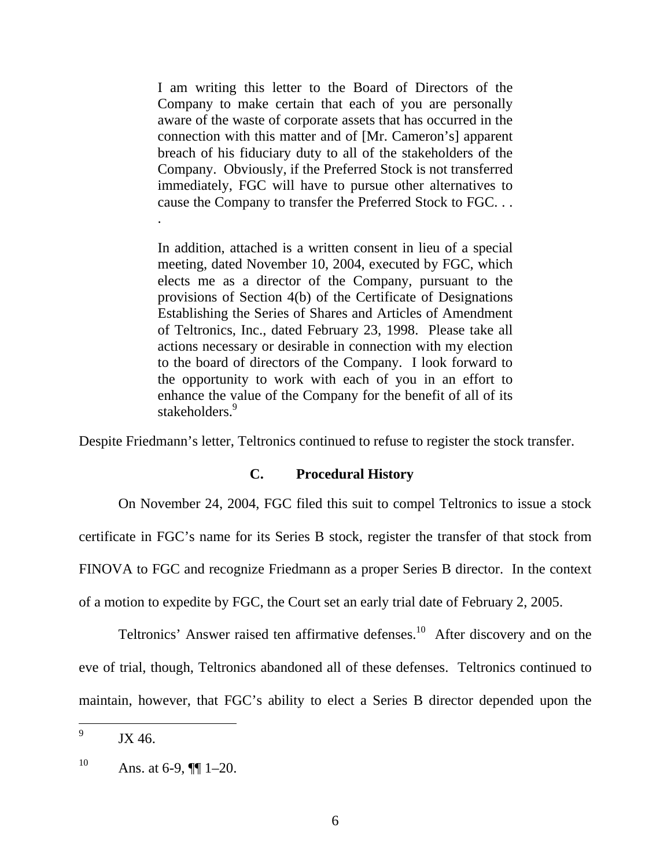I am writing this letter to the Board of Directors of the Company to make certain that each of you are personally aware of the waste of corporate assets that has occurred in the connection with this matter and of [Mr. Cameron's] apparent breach of his fiduciary duty to all of the stakeholders of the Company. Obviously, if the Preferred Stock is not transferred immediately, FGC will have to pursue other alternatives to cause the Company to transfer the Preferred Stock to FGC. . .

In addition, attached is a written consent in lieu of a special meeting, dated November 10, 2004, executed by FGC, which elects me as a director of the Company, pursuant to the provisions of Section 4(b) of the Certificate of Designations Establishing the Series of Shares and Articles of Amendment of Teltronics, Inc., dated February 23, 1998. Please take all actions necessary or desirable in connection with my election to the board of directors of the Company. I look forward to the opportunity to work with each of you in an effort to enhance the value of the Company for the benefit of all of its stakeholders.<sup>9</sup>

Despite Friedmann's letter, Teltronics continued to refuse to register the stock transfer.

#### **C. Procedural History**

On November 24, 2004, FGC filed this suit to compel Teltronics to issue a stock certificate in FGC's name for its Series B stock, register the transfer of that stock from FINOVA to FGC and recognize Friedmann as a proper Series B director. In the context of a motion to expedite by FGC, the Court set an early trial date of February 2, 2005.

Teltronics' Answer raised ten affirmative defenses.<sup>10</sup> After discovery and on the eve of trial, though, Teltronics abandoned all of these defenses. Teltronics continued to maintain, however, that FGC's ability to elect a Series B director depended upon the

.

<sup>9</sup> JX 46.

<sup>10</sup> Ans. at 6-9,  $\P\P$  1–20.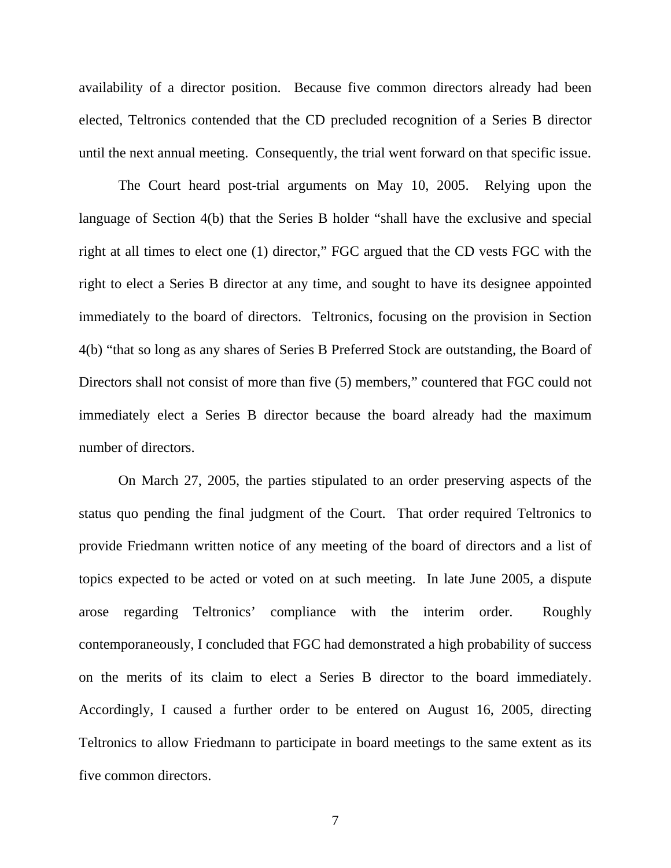availability of a director position. Because five common directors already had been elected, Teltronics contended that the CD precluded recognition of a Series B director until the next annual meeting. Consequently, the trial went forward on that specific issue.

The Court heard post-trial arguments on May 10, 2005. Relying upon the language of Section 4(b) that the Series B holder "shall have the exclusive and special right at all times to elect one (1) director," FGC argued that the CD vests FGC with the right to elect a Series B director at any time, and sought to have its designee appointed immediately to the board of directors. Teltronics, focusing on the provision in Section 4(b) "that so long as any shares of Series B Preferred Stock are outstanding, the Board of Directors shall not consist of more than five (5) members," countered that FGC could not immediately elect a Series B director because the board already had the maximum number of directors.

On March 27, 2005, the parties stipulated to an order preserving aspects of the status quo pending the final judgment of the Court. That order required Teltronics to provide Friedmann written notice of any meeting of the board of directors and a list of topics expected to be acted or voted on at such meeting. In late June 2005, a dispute arose regarding Teltronics' compliance with the interim order. Roughly contemporaneously, I concluded that FGC had demonstrated a high probability of success on the merits of its claim to elect a Series B director to the board immediately. Accordingly, I caused a further order to be entered on August 16, 2005, directing Teltronics to allow Friedmann to participate in board meetings to the same extent as its five common directors.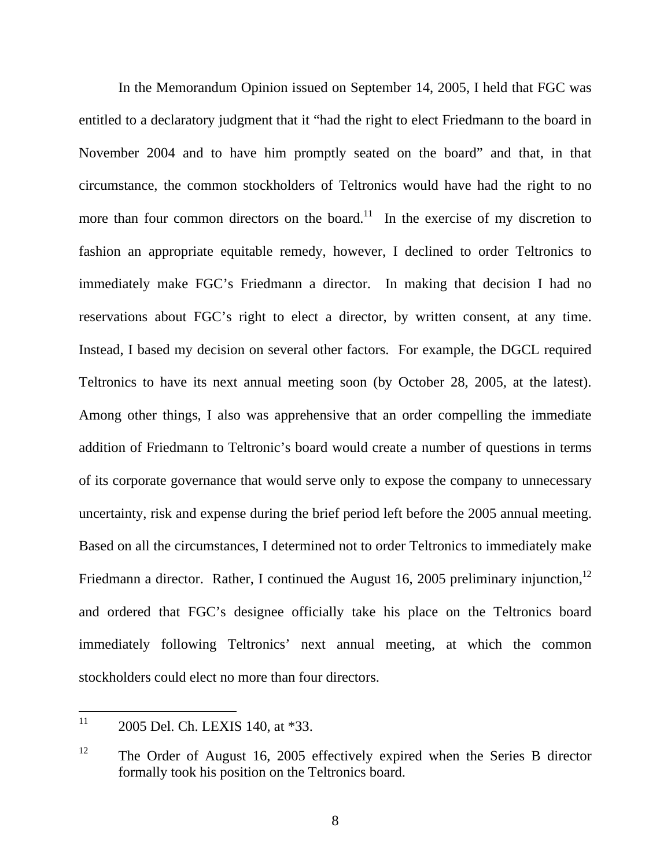In the Memorandum Opinion issued on September 14, 2005, I held that FGC was entitled to a declaratory judgment that it "had the right to elect Friedmann to the board in November 2004 and to have him promptly seated on the board" and that, in that circumstance, the common stockholders of Teltronics would have had the right to no more than four common directors on the board.<sup>11</sup> In the exercise of my discretion to fashion an appropriate equitable remedy, however, I declined to order Teltronics to immediately make FGC's Friedmann a director. In making that decision I had no reservations about FGC's right to elect a director, by written consent, at any time. Instead, I based my decision on several other factors. For example, the DGCL required Teltronics to have its next annual meeting soon (by October 28, 2005, at the latest). Among other things, I also was apprehensive that an order compelling the immediate addition of Friedmann to Teltronic's board would create a number of questions in terms of its corporate governance that would serve only to expose the company to unnecessary uncertainty, risk and expense during the brief period left before the 2005 annual meeting. Based on all the circumstances, I determined not to order Teltronics to immediately make Friedmann a director. Rather, I continued the August 16, 2005 preliminary injunction,  $12$ and ordered that FGC's designee officially take his place on the Teltronics board immediately following Teltronics' next annual meeting, at which the common stockholders could elect no more than four directors.

 $11$ 2005 Del. Ch. LEXIS 140, at \*33.

<sup>&</sup>lt;sup>12</sup> The Order of August 16, 2005 effectively expired when the Series B director formally took his position on the Teltronics board.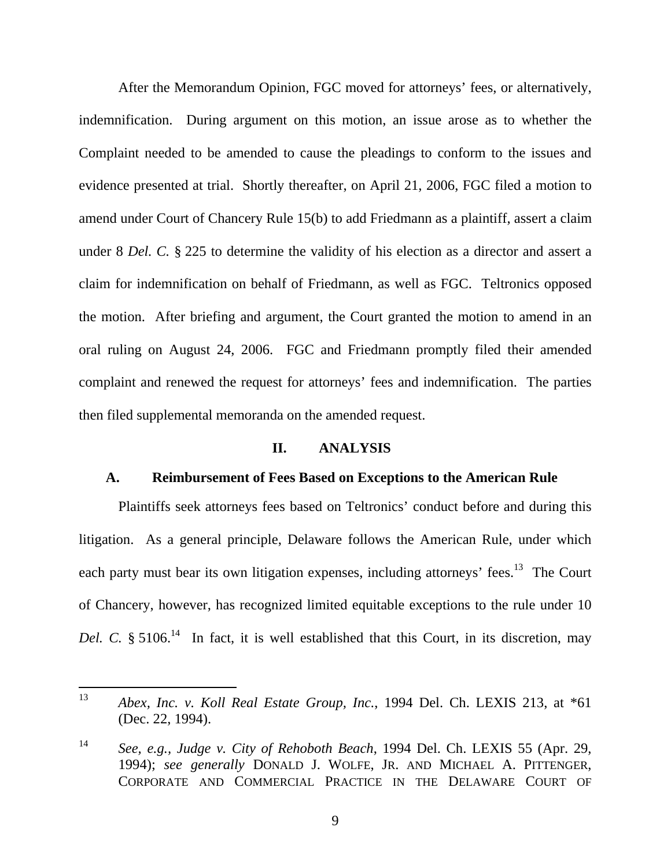After the Memorandum Opinion, FGC moved for attorneys' fees, or alternatively, indemnification. During argument on this motion, an issue arose as to whether the Complaint needed to be amended to cause the pleadings to conform to the issues and evidence presented at trial. Shortly thereafter, on April 21, 2006, FGC filed a motion to amend under Court of Chancery Rule 15(b) to add Friedmann as a plaintiff, assert a claim under 8 *Del. C.* § 225 to determine the validity of his election as a director and assert a claim for indemnification on behalf of Friedmann, as well as FGC. Teltronics opposed the motion. After briefing and argument, the Court granted the motion to amend in an oral ruling on August 24, 2006. FGC and Friedmann promptly filed their amended complaint and renewed the request for attorneys' fees and indemnification. The parties then filed supplemental memoranda on the amended request.

#### **II. ANALYSIS**

#### **A. Reimbursement of Fees Based on Exceptions to the American Rule**

Plaintiffs seek attorneys fees based on Teltronics' conduct before and during this litigation. As a general principle, Delaware follows the American Rule, under which each party must bear its own litigation expenses, including attorneys' fees.<sup>13</sup> The Court of Chancery, however, has recognized limited equitable exceptions to the rule under 10 *Del. C.* § 5106.<sup>14</sup> In fact, it is well established that this Court, in its discretion, may

<sup>13</sup> <sup>13</sup> *Abex, Inc. v. Koll Real Estate Group, Inc.*, 1994 Del. Ch. LEXIS 213, at \*61 (Dec. 22, 1994).

<sup>14</sup> *See, e.g., Judge v. City of Rehoboth Beach*, 1994 Del. Ch. LEXIS 55 (Apr. 29, 1994); *see generally* DONALD J. WOLFE, JR. AND MICHAEL A. PITTENGER, CORPORATE AND COMMERCIAL PRACTICE IN THE DELAWARE COURT OF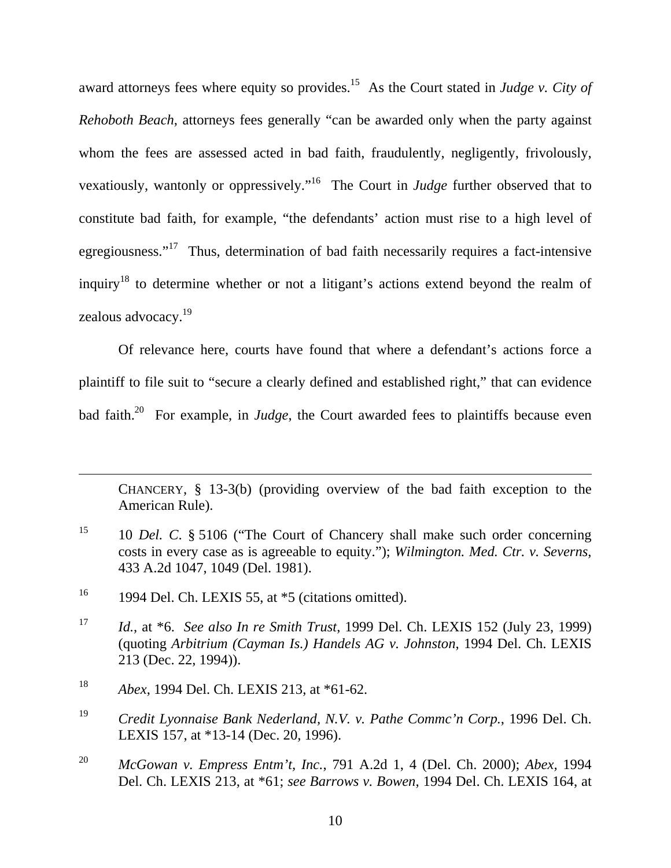award attorneys fees where equity so provides.<sup>15</sup> As the Court stated in *Judge v. City of Rehoboth Beach*, attorneys fees generally "can be awarded only when the party against whom the fees are assessed acted in bad faith, fraudulently, negligently, frivolously, vexatiously, wantonly or oppressively."16 The Court in *Judge* further observed that to constitute bad faith, for example, "the defendants' action must rise to a high level of egregiousness."17 Thus, determination of bad faith necessarily requires a fact-intensive inquiry18 to determine whether or not a litigant's actions extend beyond the realm of zealous advocacy.19

Of relevance here, courts have found that where a defendant's actions force a plaintiff to file suit to "secure a clearly defined and established right," that can evidence bad faith.<sup>20</sup> For example, in *Judge*, the Court awarded fees to plaintiffs because even

CHANCERY, § 13-3(b) (providing overview of the bad faith exception to the American Rule).

<sup>15</sup> 10 *Del. C.* § 5106 ("The Court of Chancery shall make such order concerning costs in every case as is agreeable to equity."); *Wilmington. Med. Ctr. v. Severns*, 433 A.2d 1047, 1049 (Del. 1981).

 $\overline{a}$ 

<sup>&</sup>lt;sup>16</sup> 1994 Del. Ch. LEXIS 55, at  $*5$  (citations omitted).

<sup>17</sup> *Id.*, at \*6. *See also In re Smith Trust*, 1999 Del. Ch. LEXIS 152 (July 23, 1999) (quoting *Arbitrium (Cayman Is.) Handels AG v. Johnston*, 1994 Del. Ch. LEXIS 213 (Dec. 22, 1994)).

<sup>18</sup> *Abex*, 1994 Del. Ch. LEXIS 213, at \*61-62.

<sup>19</sup> *Credit Lyonnaise Bank Nederland, N.V. v. Pathe Commc'n Corp.*, 1996 Del. Ch. LEXIS 157, at \*13-14 (Dec. 20, 1996).

<sup>20</sup> *McGowan v. Empress Entm't, Inc.*, 791 A.2d 1, 4 (Del. Ch. 2000); *Abex,* 1994 Del. Ch. LEXIS 213, at \*61; *see Barrows v. Bowen*, 1994 Del. Ch. LEXIS 164, at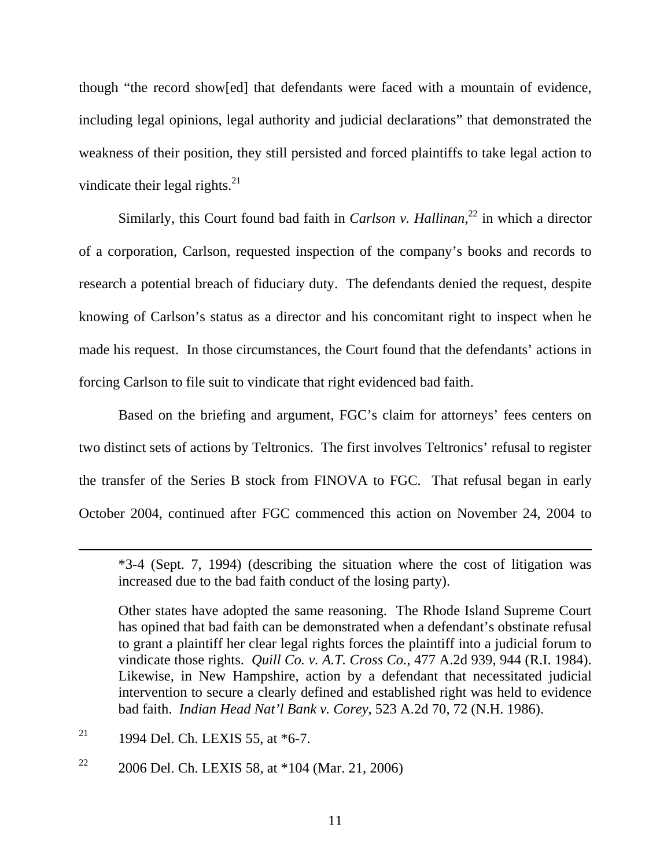though "the record show[ed] that defendants were faced with a mountain of evidence, including legal opinions, legal authority and judicial declarations" that demonstrated the weakness of their position, they still persisted and forced plaintiffs to take legal action to vindicate their legal rights. $^{21}$ 

Similarly, this Court found bad faith in *Carlson v. Hallinan*<sup>22</sup> in which a director of a corporation, Carlson, requested inspection of the company's books and records to research a potential breach of fiduciary duty. The defendants denied the request, despite knowing of Carlson's status as a director and his concomitant right to inspect when he made his request. In those circumstances, the Court found that the defendants' actions in forcing Carlson to file suit to vindicate that right evidenced bad faith.

Based on the briefing and argument, FGC's claim for attorneys' fees centers on two distinct sets of actions by Teltronics. The first involves Teltronics' refusal to register the transfer of the Series B stock from FINOVA to FGC. That refusal began in early October 2004, continued after FGC commenced this action on November 24, 2004 to

<sup>21</sup> 1994 Del. Ch. LEXIS 55, at  $*6-7$ .

 $\overline{a}$ 

<sup>22</sup> 2006 Del. Ch. LEXIS 58, at  $*104$  (Mar. 21, 2006)

<sup>\*3-4 (</sup>Sept. 7, 1994) (describing the situation where the cost of litigation was increased due to the bad faith conduct of the losing party).

Other states have adopted the same reasoning. The Rhode Island Supreme Court has opined that bad faith can be demonstrated when a defendant's obstinate refusal to grant a plaintiff her clear legal rights forces the plaintiff into a judicial forum to vindicate those rights. *Quill Co. v. A.T. Cross Co.*, 477 A.2d 939, 944 (R.I. 1984). Likewise, in New Hampshire, action by a defendant that necessitated judicial intervention to secure a clearly defined and established right was held to evidence bad faith. *Indian Head Nat'l Bank v. Corey*, 523 A.2d 70, 72 (N.H. 1986).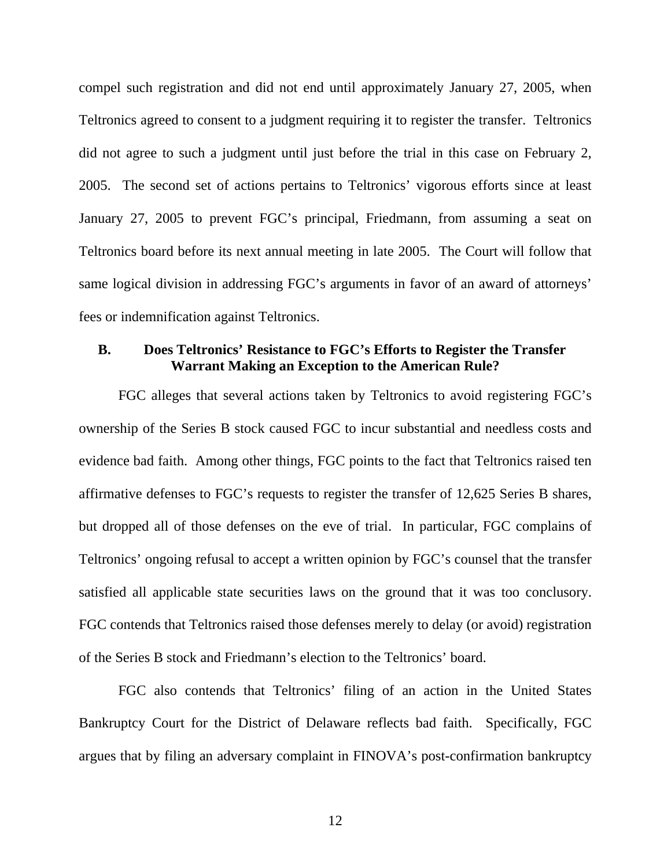compel such registration and did not end until approximately January 27, 2005, when Teltronics agreed to consent to a judgment requiring it to register the transfer. Teltronics did not agree to such a judgment until just before the trial in this case on February 2, 2005. The second set of actions pertains to Teltronics' vigorous efforts since at least January 27, 2005 to prevent FGC's principal, Friedmann, from assuming a seat on Teltronics board before its next annual meeting in late 2005. The Court will follow that same logical division in addressing FGC's arguments in favor of an award of attorneys' fees or indemnification against Teltronics.

### **B. Does Teltronics' Resistance to FGC's Efforts to Register the Transfer Warrant Making an Exception to the American Rule?**

FGC alleges that several actions taken by Teltronics to avoid registering FGC's ownership of the Series B stock caused FGC to incur substantial and needless costs and evidence bad faith. Among other things, FGC points to the fact that Teltronics raised ten affirmative defenses to FGC's requests to register the transfer of 12,625 Series B shares, but dropped all of those defenses on the eve of trial. In particular, FGC complains of Teltronics' ongoing refusal to accept a written opinion by FGC's counsel that the transfer satisfied all applicable state securities laws on the ground that it was too conclusory. FGC contends that Teltronics raised those defenses merely to delay (or avoid) registration of the Series B stock and Friedmann's election to the Teltronics' board.

FGC also contends that Teltronics' filing of an action in the United States Bankruptcy Court for the District of Delaware reflects bad faith. Specifically, FGC argues that by filing an adversary complaint in FINOVA's post-confirmation bankruptcy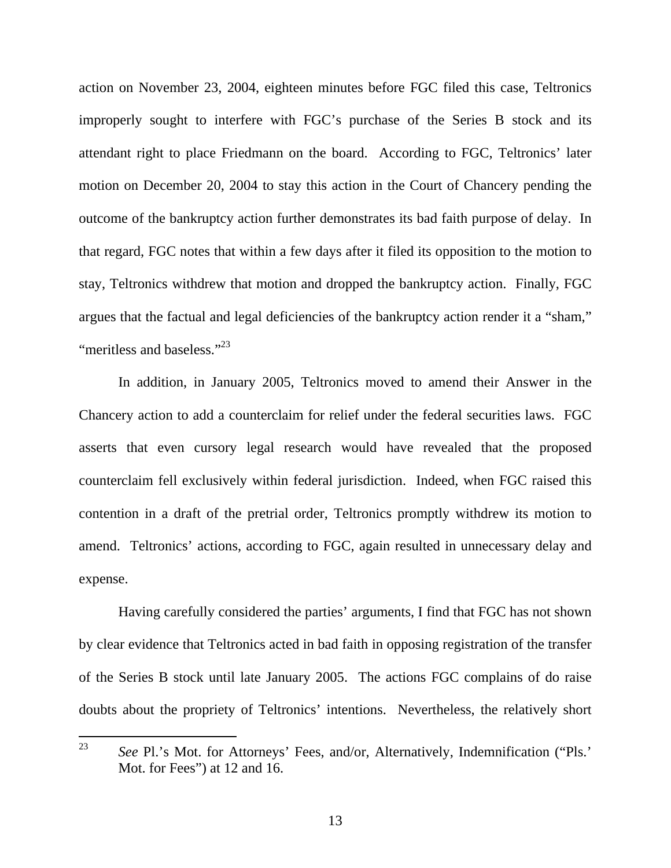action on November 23, 2004, eighteen minutes before FGC filed this case, Teltronics improperly sought to interfere with FGC's purchase of the Series B stock and its attendant right to place Friedmann on the board. According to FGC, Teltronics' later motion on December 20, 2004 to stay this action in the Court of Chancery pending the outcome of the bankruptcy action further demonstrates its bad faith purpose of delay. In that regard, FGC notes that within a few days after it filed its opposition to the motion to stay, Teltronics withdrew that motion and dropped the bankruptcy action. Finally, FGC argues that the factual and legal deficiencies of the bankruptcy action render it a "sham," "meritless and baseless."<sup>23</sup>

In addition, in January 2005, Teltronics moved to amend their Answer in the Chancery action to add a counterclaim for relief under the federal securities laws. FGC asserts that even cursory legal research would have revealed that the proposed counterclaim fell exclusively within federal jurisdiction. Indeed, when FGC raised this contention in a draft of the pretrial order, Teltronics promptly withdrew its motion to amend. Teltronics' actions, according to FGC, again resulted in unnecessary delay and expense.

Having carefully considered the parties' arguments, I find that FGC has not shown by clear evidence that Teltronics acted in bad faith in opposing registration of the transfer of the Series B stock until late January 2005. The actions FGC complains of do raise doubts about the propriety of Teltronics' intentions. Nevertheless, the relatively short

<sup>23</sup> See Pl.'s Mot. for Attorneys' Fees, and/or, Alternatively, Indemnification ("Pls." Mot. for Fees") at 12 and 16.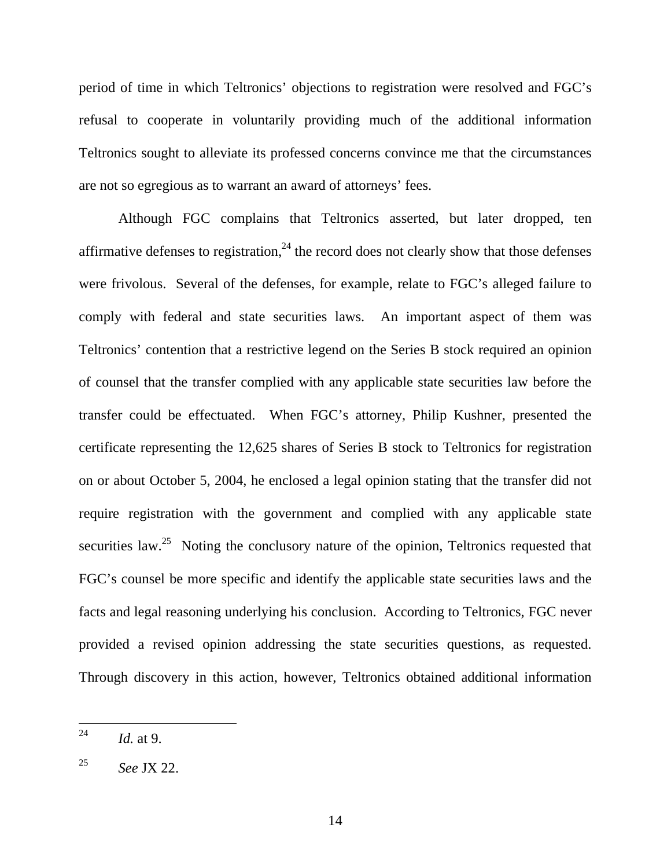period of time in which Teltronics' objections to registration were resolved and FGC's refusal to cooperate in voluntarily providing much of the additional information Teltronics sought to alleviate its professed concerns convince me that the circumstances are not so egregious as to warrant an award of attorneys' fees.

Although FGC complains that Teltronics asserted, but later dropped, ten affirmative defenses to registration,  $24$  the record does not clearly show that those defenses were frivolous. Several of the defenses, for example, relate to FGC's alleged failure to comply with federal and state securities laws. An important aspect of them was Teltronics' contention that a restrictive legend on the Series B stock required an opinion of counsel that the transfer complied with any applicable state securities law before the transfer could be effectuated. When FGC's attorney, Philip Kushner, presented the certificate representing the 12,625 shares of Series B stock to Teltronics for registration on or about October 5, 2004, he enclosed a legal opinion stating that the transfer did not require registration with the government and complied with any applicable state securities  $law<sup>25</sup>$ . Noting the conclusory nature of the opinion, Teltronics requested that FGC's counsel be more specific and identify the applicable state securities laws and the facts and legal reasoning underlying his conclusion. According to Teltronics, FGC never provided a revised opinion addressing the state securities questions, as requested. Through discovery in this action, however, Teltronics obtained additional information

<sup>24</sup> *Id.* at 9.

<sup>25</sup> *See* JX 22.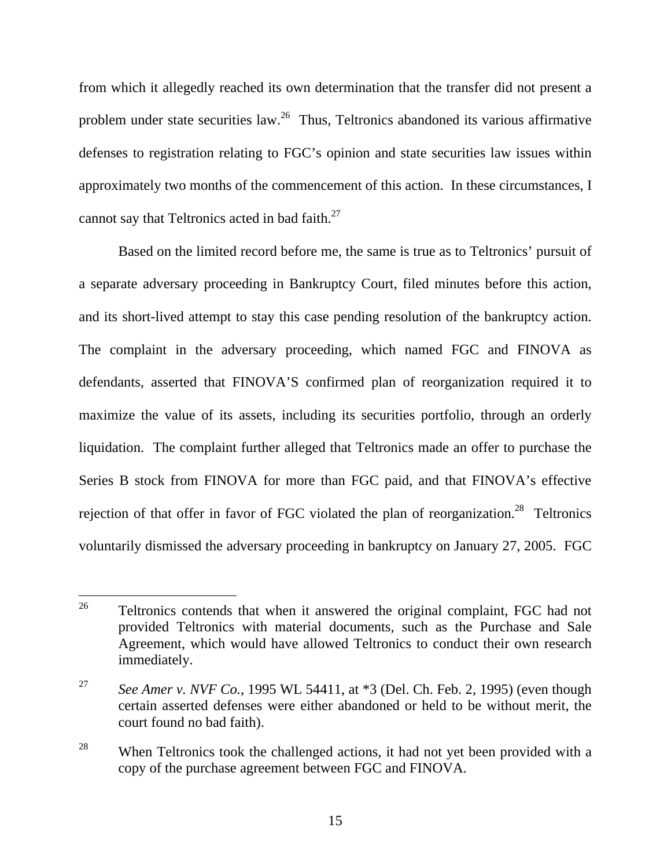from which it allegedly reached its own determination that the transfer did not present a problem under state securities law.<sup>26</sup> Thus, Teltronics abandoned its various affirmative defenses to registration relating to FGC's opinion and state securities law issues within approximately two months of the commencement of this action. In these circumstances, I cannot say that Teltronics acted in bad faith.27

 Based on the limited record before me, the same is true as to Teltronics' pursuit of a separate adversary proceeding in Bankruptcy Court, filed minutes before this action, and its short-lived attempt to stay this case pending resolution of the bankruptcy action. The complaint in the adversary proceeding, which named FGC and FINOVA as defendants, asserted that FINOVA'S confirmed plan of reorganization required it to maximize the value of its assets, including its securities portfolio, through an orderly liquidation. The complaint further alleged that Teltronics made an offer to purchase the Series B stock from FINOVA for more than FGC paid, and that FINOVA's effective rejection of that offer in favor of FGC violated the plan of reorganization.<sup>28</sup> Teltronics voluntarily dismissed the adversary proceeding in bankruptcy on January 27, 2005. FGC

<sup>26</sup> Teltronics contends that when it answered the original complaint, FGC had not provided Teltronics with material documents, such as the Purchase and Sale Agreement, which would have allowed Teltronics to conduct their own research immediately.

<sup>27</sup> *See Amer v. NVF Co.*, 1995 WL 54411, at \*3 (Del. Ch. Feb. 2, 1995) (even though certain asserted defenses were either abandoned or held to be without merit, the court found no bad faith).

<sup>&</sup>lt;sup>28</sup> When Teltronics took the challenged actions, it had not yet been provided with a copy of the purchase agreement between FGC and FINOVA.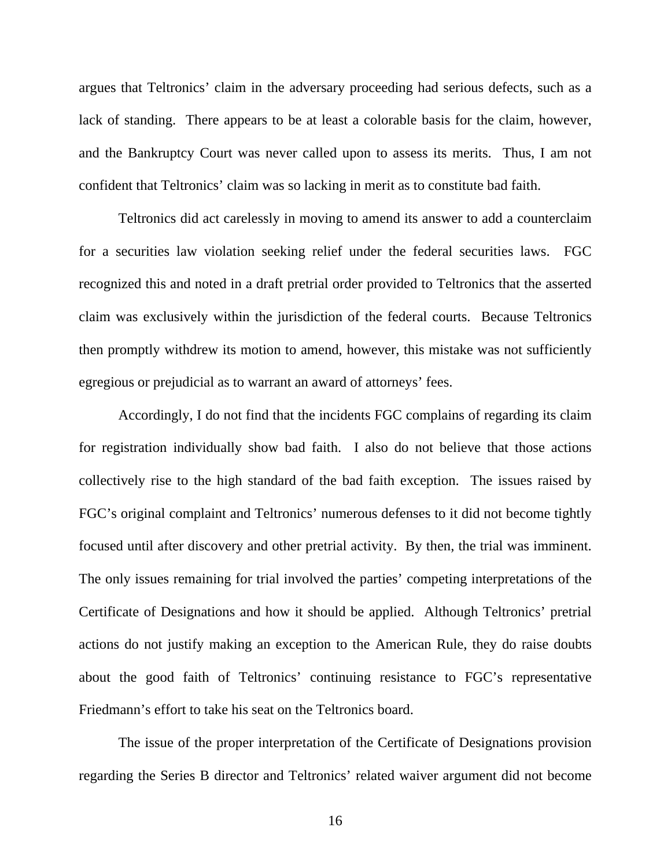argues that Teltronics' claim in the adversary proceeding had serious defects, such as a lack of standing. There appears to be at least a colorable basis for the claim, however, and the Bankruptcy Court was never called upon to assess its merits. Thus, I am not confident that Teltronics' claim was so lacking in merit as to constitute bad faith.

Teltronics did act carelessly in moving to amend its answer to add a counterclaim for a securities law violation seeking relief under the federal securities laws. FGC recognized this and noted in a draft pretrial order provided to Teltronics that the asserted claim was exclusively within the jurisdiction of the federal courts. Because Teltronics then promptly withdrew its motion to amend, however, this mistake was not sufficiently egregious or prejudicial as to warrant an award of attorneys' fees.

Accordingly, I do not find that the incidents FGC complains of regarding its claim for registration individually show bad faith. I also do not believe that those actions collectively rise to the high standard of the bad faith exception. The issues raised by FGC's original complaint and Teltronics' numerous defenses to it did not become tightly focused until after discovery and other pretrial activity. By then, the trial was imminent. The only issues remaining for trial involved the parties' competing interpretations of the Certificate of Designations and how it should be applied. Although Teltronics' pretrial actions do not justify making an exception to the American Rule, they do raise doubts about the good faith of Teltronics' continuing resistance to FGC's representative Friedmann's effort to take his seat on the Teltronics board.

The issue of the proper interpretation of the Certificate of Designations provision regarding the Series B director and Teltronics' related waiver argument did not become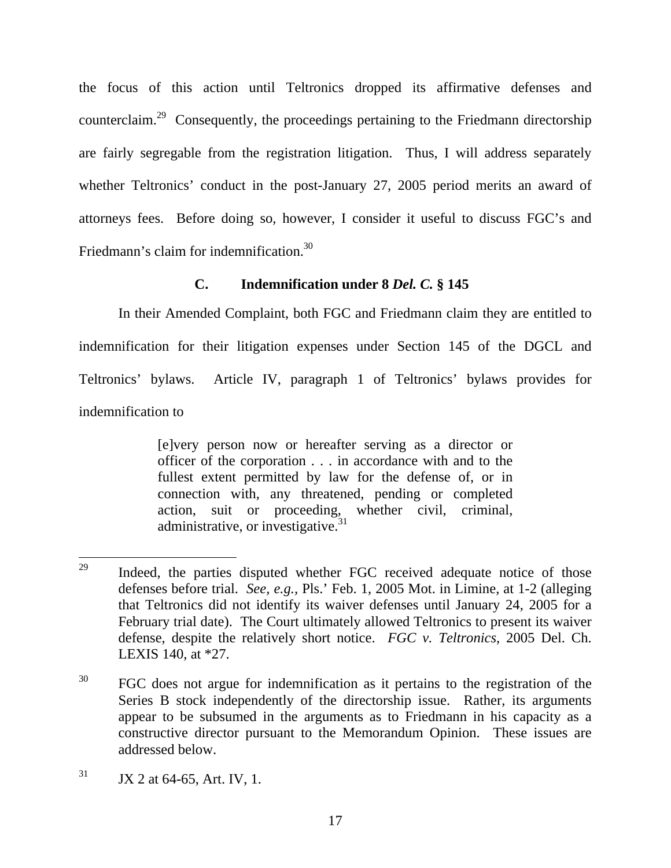the focus of this action until Teltronics dropped its affirmative defenses and counterclaim.29 Consequently, the proceedings pertaining to the Friedmann directorship are fairly segregable from the registration litigation. Thus, I will address separately whether Teltronics' conduct in the post-January 27, 2005 period merits an award of attorneys fees. Before doing so, however, I consider it useful to discuss FGC's and Friedmann's claim for indemnification.<sup>30</sup>

## **C. Indemnification under 8** *Del. C.* **§ 145**

In their Amended Complaint, both FGC and Friedmann claim they are entitled to indemnification for their litigation expenses under Section 145 of the DGCL and Teltronics' bylaws. Article IV, paragraph 1 of Teltronics' bylaws provides for indemnification to

> [e]very person now or hereafter serving as a director or officer of the corporation . . . in accordance with and to the fullest extent permitted by law for the defense of, or in connection with, any threatened, pending or completed action, suit or proceeding, whether civil, criminal, administrative, or investigative.<sup>31</sup>

<sup>29</sup> Indeed, the parties disputed whether FGC received adequate notice of those defenses before trial. *See, e.g.,* Pls.' Feb. 1, 2005 Mot. in Limine, at 1-2 (alleging that Teltronics did not identify its waiver defenses until January 24, 2005 for a February trial date). The Court ultimately allowed Teltronics to present its waiver defense, despite the relatively short notice. *FGC v. Teltronics*, 2005 Del. Ch. LEXIS 140, at \*27.

<sup>&</sup>lt;sup>30</sup> FGC does not argue for indemnification as it pertains to the registration of the Series B stock independently of the directorship issue. Rather, its arguments appear to be subsumed in the arguments as to Friedmann in his capacity as a constructive director pursuant to the Memorandum Opinion. These issues are addressed below.

 $31$  JX 2 at 64-65, Art. IV, 1.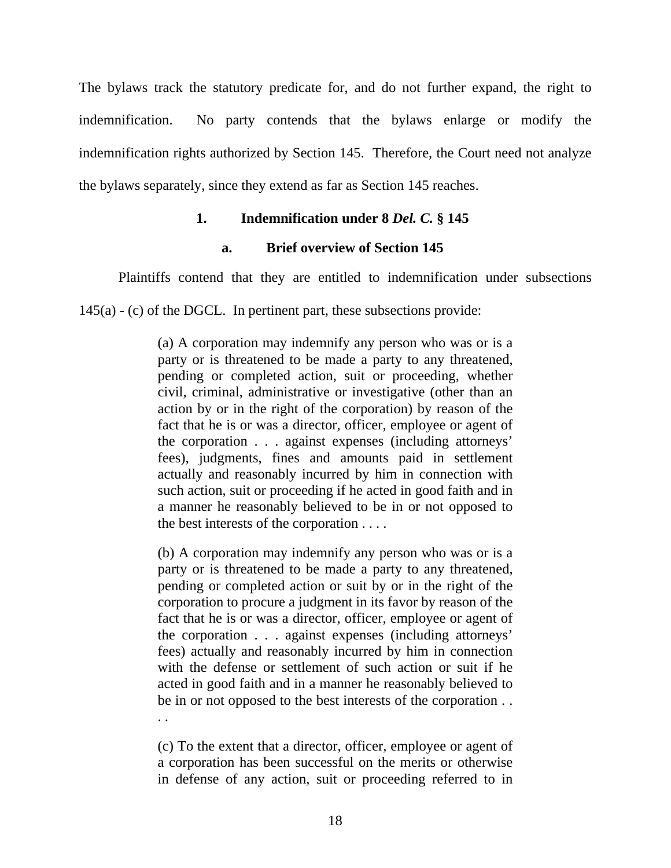The bylaws track the statutory predicate for, and do not further expand, the right to indemnification. No party contends that the bylaws enlarge or modify the indemnification rights authorized by Section 145. Therefore, the Court need not analyze the bylaws separately, since they extend as far as Section 145 reaches.

## **1. Indemnification under 8** *Del. C.* **§ 145**

## **a. Brief overview of Section 145**

Plaintiffs contend that they are entitled to indemnification under subsections

145(a) - (c) of the DGCL. In pertinent part, these subsections provide:

(a) A corporation may indemnify any person who was or is a party or is threatened to be made a party to any threatened, pending or completed action, suit or proceeding, whether civil, criminal, administrative or investigative (other than an action by or in the right of the corporation) by reason of the fact that he is or was a director, officer, employee or agent of the corporation . . . against expenses (including attorneys' fees), judgments, fines and amounts paid in settlement actually and reasonably incurred by him in connection with such action, suit or proceeding if he acted in good faith and in a manner he reasonably believed to be in or not opposed to the best interests of the corporation . . . .

(b) A corporation may indemnify any person who was or is a party or is threatened to be made a party to any threatened, pending or completed action or suit by or in the right of the corporation to procure a judgment in its favor by reason of the fact that he is or was a director, officer, employee or agent of the corporation . . . against expenses (including attorneys' fees) actually and reasonably incurred by him in connection with the defense or settlement of such action or suit if he acted in good faith and in a manner he reasonably believed to be in or not opposed to the best interests of the corporation . .

(c) To the extent that a director, officer, employee or agent of a corporation has been successful on the merits or otherwise in defense of any action, suit or proceeding referred to in

. .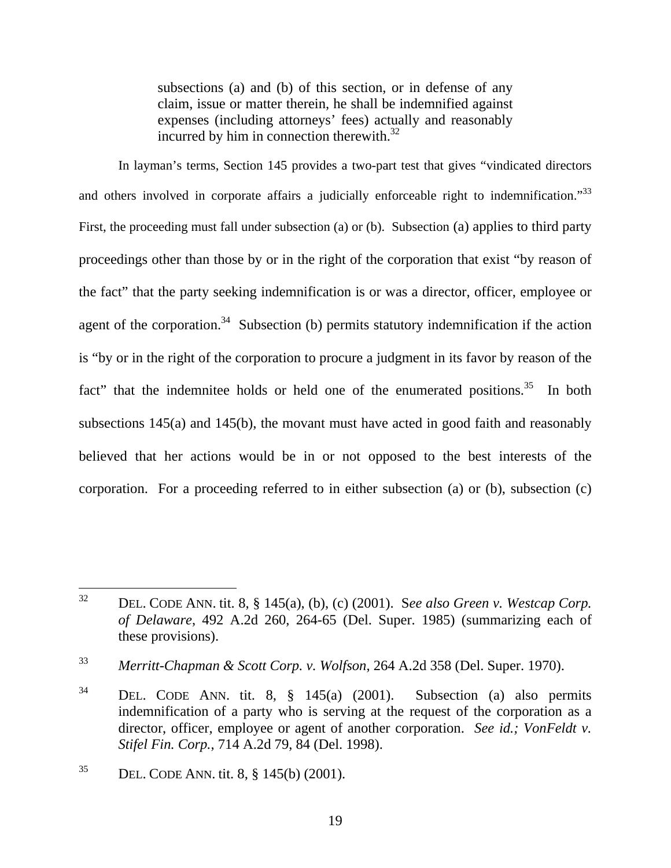subsections (a) and (b) of this section, or in defense of any claim, issue or matter therein, he shall be indemnified against expenses (including attorneys' fees) actually and reasonably incurred by him in connection therewith.<sup>32</sup>

In layman's terms, Section 145 provides a two-part test that gives "vindicated directors and others involved in corporate affairs a judicially enforceable right to indemnification."<sup>33</sup> First, the proceeding must fall under subsection (a) or (b). Subsection (a) applies to third party proceedings other than those by or in the right of the corporation that exist "by reason of the fact" that the party seeking indemnification is or was a director, officer, employee or agent of the corporation.<sup>34</sup> Subsection (b) permits statutory indemnification if the action is "by or in the right of the corporation to procure a judgment in its favor by reason of the fact" that the indemnitee holds or held one of the enumerated positions. $35$  In both subsections 145(a) and 145(b), the movant must have acted in good faith and reasonably believed that her actions would be in or not opposed to the best interests of the corporation. For a proceeding referred to in either subsection (a) or (b), subsection (c)

 $32$ 32 DEL. CODE ANN. tit. 8, § 145(a), (b), (c) (2001). S*ee also Green v. Westcap Corp. of Delaware*, 492 A.2d 260, 264-65 (Del. Super. 1985) (summarizing each of these provisions).

<sup>33</sup> *Merritt-Chapman & Scott Corp. v. Wolfson*, 264 A.2d 358 (Del. Super. 1970).

<sup>34</sup> DEL. CODE ANN. tit. 8, § 145(a) (2001). Subsection (a) also permits indemnification of a party who is serving at the request of the corporation as a director, officer, employee or agent of another corporation. *See id.; VonFeldt v. Stifel Fin. Corp.*, 714 A.2d 79, 84 (Del. 1998).

<sup>&</sup>lt;sup>35</sup> DEL. CODE ANN. tit. 8,  $\S$  145(b) (2001).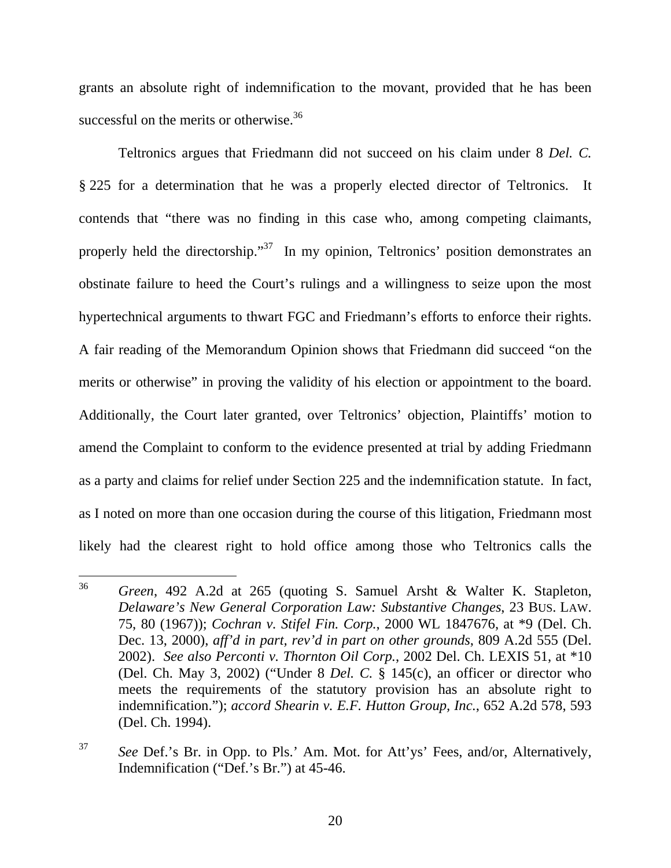grants an absolute right of indemnification to the movant, provided that he has been successful on the merits or otherwise.<sup>36</sup>

Teltronics argues that Friedmann did not succeed on his claim under 8 *Del. C.* § 225 for a determination that he was a properly elected director of Teltronics. It contends that "there was no finding in this case who, among competing claimants, properly held the directorship."<sup>37</sup> In my opinion, Teltronics' position demonstrates an obstinate failure to heed the Court's rulings and a willingness to seize upon the most hypertechnical arguments to thwart FGC and Friedmann's efforts to enforce their rights. A fair reading of the Memorandum Opinion shows that Friedmann did succeed "on the merits or otherwise" in proving the validity of his election or appointment to the board. Additionally, the Court later granted, over Teltronics' objection, Plaintiffs' motion to amend the Complaint to conform to the evidence presented at trial by adding Friedmann as a party and claims for relief under Section 225 and the indemnification statute. In fact, as I noted on more than one occasion during the course of this litigation, Friedmann most likely had the clearest right to hold office among those who Teltronics calls the

<sup>36</sup> <sup>36</sup> *Green*, 492 A.2d at 265 (quoting S. Samuel Arsht & Walter K. Stapleton, *Delaware's New General Corporation Law: Substantive Changes*, 23 BUS. LAW. 75, 80 (1967)); *Cochran v. Stifel Fin. Corp.*, 2000 WL 1847676, at \*9 (Del. Ch. Dec. 13, 2000), *aff'd in part, rev'd in part on other grounds*, 809 A.2d 555 (Del. 2002). *See also Perconti v. Thornton Oil Corp.*, 2002 Del. Ch. LEXIS 51, at \*10 (Del. Ch. May 3, 2002) ("Under 8 *Del. C.* § 145(c), an officer or director who meets the requirements of the statutory provision has an absolute right to indemnification."); *accord Shearin v. E.F. Hutton Group, Inc.*, 652 A.2d 578, 593 (Del. Ch. 1994).

<sup>37</sup> *See* Def.'s Br. in Opp. to Pls.' Am. Mot. for Att'ys' Fees, and/or, Alternatively, Indemnification ("Def.'s Br.") at 45-46.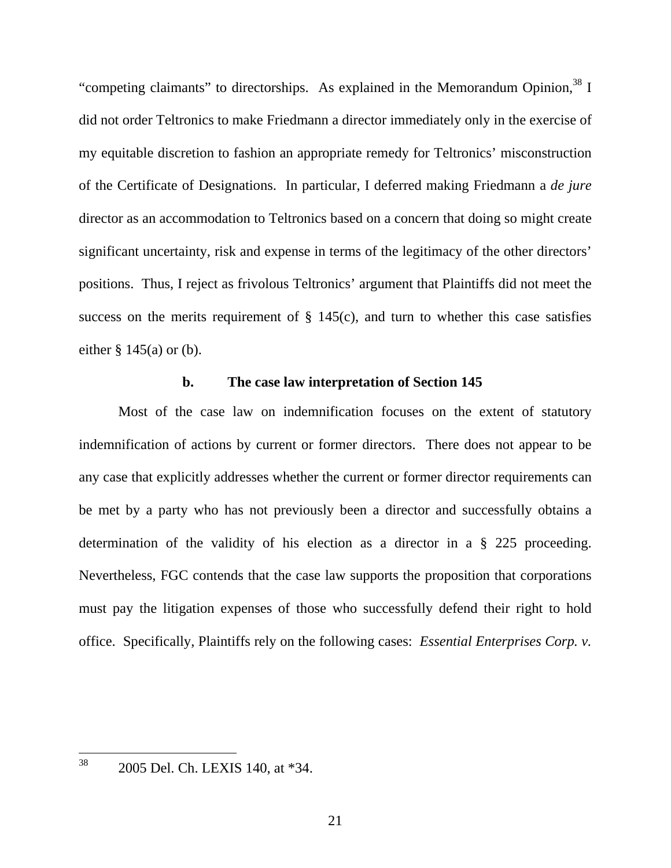"competing claimants" to directorships. As explained in the Memorandum Opinion,  $38$  I did not order Teltronics to make Friedmann a director immediately only in the exercise of my equitable discretion to fashion an appropriate remedy for Teltronics' misconstruction of the Certificate of Designations. In particular, I deferred making Friedmann a *de jure* director as an accommodation to Teltronics based on a concern that doing so might create significant uncertainty, risk and expense in terms of the legitimacy of the other directors' positions. Thus, I reject as frivolous Teltronics' argument that Plaintiffs did not meet the success on the merits requirement of  $\S$  145(c), and turn to whether this case satisfies either  $\S$  145(a) or (b).

#### **b. The case law interpretation of Section 145**

Most of the case law on indemnification focuses on the extent of statutory indemnification of actions by current or former directors. There does not appear to be any case that explicitly addresses whether the current or former director requirements can be met by a party who has not previously been a director and successfully obtains a determination of the validity of his election as a director in a § 225 proceeding. Nevertheless, FGC contends that the case law supports the proposition that corporations must pay the litigation expenses of those who successfully defend their right to hold office. Specifically, Plaintiffs rely on the following cases: *Essential Enterprises Corp. v.* 

38 38 2005 Del. Ch. LEXIS 140, at \*34.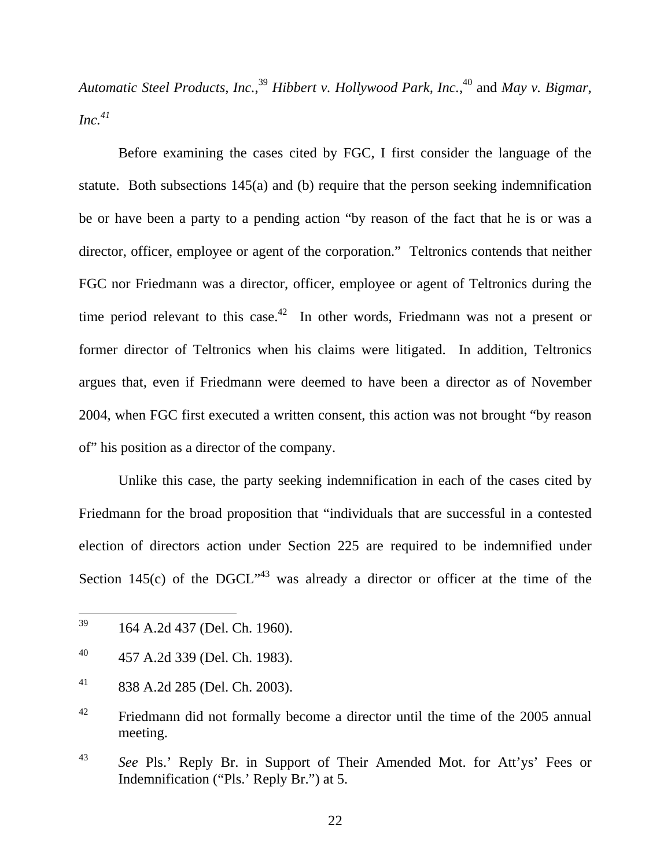*Automatic Steel Products, Inc.*, <sup>39</sup> *Hibbert v. Hollywood Park, Inc.*, 40 and *May v. Bigmar, Inc.41*

Before examining the cases cited by FGC, I first consider the language of the statute. Both subsections 145(a) and (b) require that the person seeking indemnification be or have been a party to a pending action "by reason of the fact that he is or was a director, officer, employee or agent of the corporation." Teltronics contends that neither FGC nor Friedmann was a director, officer, employee or agent of Teltronics during the time period relevant to this case.<sup>42</sup> In other words, Friedmann was not a present or former director of Teltronics when his claims were litigated. In addition, Teltronics argues that, even if Friedmann were deemed to have been a director as of November 2004, when FGC first executed a written consent, this action was not brought "by reason of" his position as a director of the company.

Unlike this case, the party seeking indemnification in each of the cases cited by Friedmann for the broad proposition that "individuals that are successful in a contested election of directors action under Section 225 are required to be indemnified under Section 145(c) of the DGCL<sup> $,43$ </sup> was already a director or officer at the time of the

<sup>39</sup> 164 A.2d 437 (Del. Ch. 1960).

 $^{40}$  457 A.2d 339 (Del. Ch. 1983).

 $^{41}$  838 A.2d 285 (Del. Ch. 2003).

<sup>&</sup>lt;sup>42</sup> Friedmann did not formally become a director until the time of the 2005 annual meeting.

<sup>43</sup> *See* Pls.' Reply Br. in Support of Their Amended Mot. for Att'ys' Fees or Indemnification ("Pls.' Reply Br.") at 5.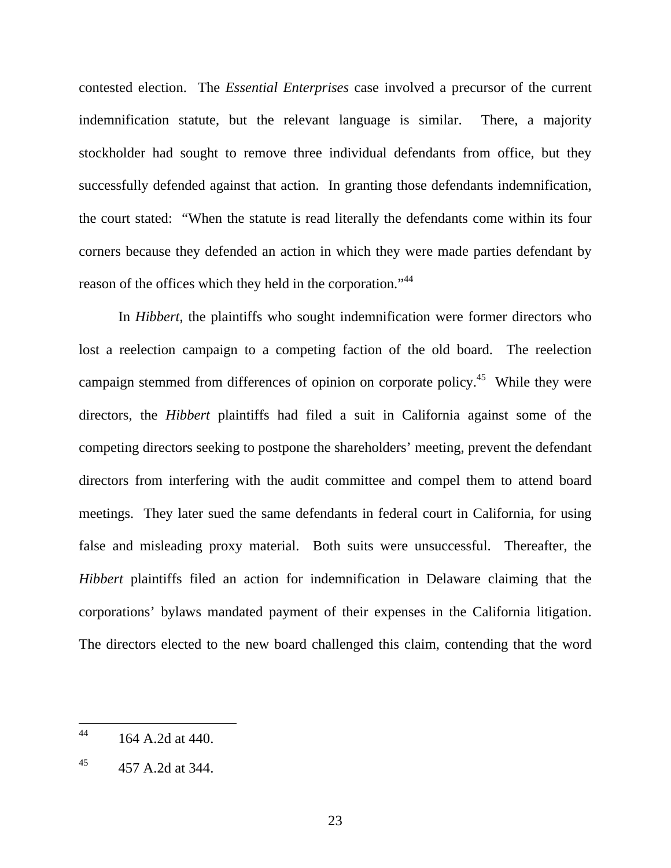contested election. The *Essential Enterprises* case involved a precursor of the current indemnification statute, but the relevant language is similar. There, a majority stockholder had sought to remove three individual defendants from office, but they successfully defended against that action. In granting those defendants indemnification, the court stated: "When the statute is read literally the defendants come within its four corners because they defended an action in which they were made parties defendant by reason of the offices which they held in the corporation."<sup>44</sup>

In *Hibbert*, the plaintiffs who sought indemnification were former directors who lost a reelection campaign to a competing faction of the old board. The reelection campaign stemmed from differences of opinion on corporate policy.<sup>45</sup> While they were directors, the *Hibbert* plaintiffs had filed a suit in California against some of the competing directors seeking to postpone the shareholders' meeting, prevent the defendant directors from interfering with the audit committee and compel them to attend board meetings. They later sued the same defendants in federal court in California, for using false and misleading proxy material. Both suits were unsuccessful. Thereafter, the *Hibbert* plaintiffs filed an action for indemnification in Delaware claiming that the corporations' bylaws mandated payment of their expenses in the California litigation. The directors elected to the new board challenged this claim, contending that the word

<sup>44</sup> 44 164 A.2d at 440.

 $45$  457 A.2d at 344.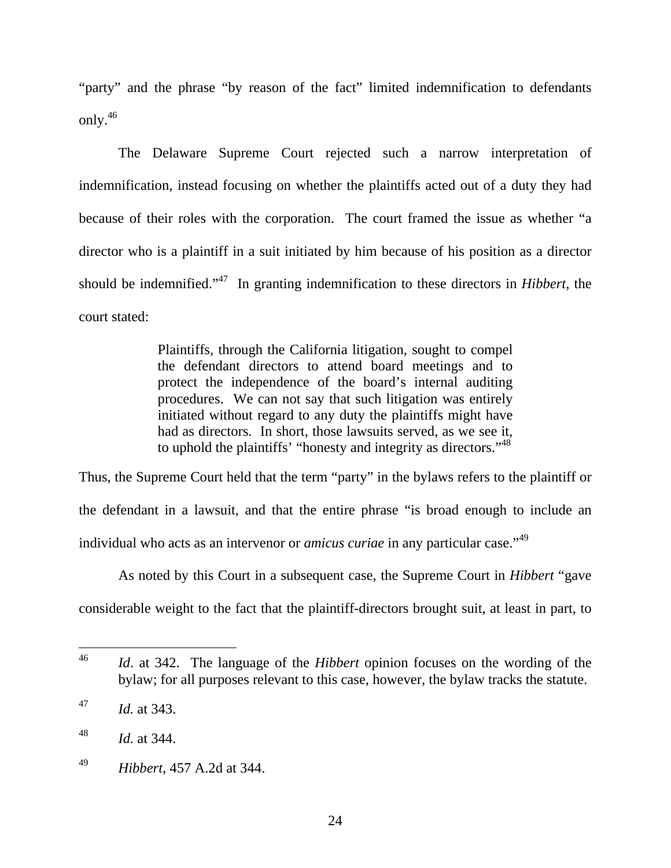"party" and the phrase "by reason of the fact" limited indemnification to defendants only.46

The Delaware Supreme Court rejected such a narrow interpretation of indemnification, instead focusing on whether the plaintiffs acted out of a duty they had because of their roles with the corporation. The court framed the issue as whether "a director who is a plaintiff in a suit initiated by him because of his position as a director should be indemnified."47 In granting indemnification to these directors in *Hibbert*, the court stated:

> Plaintiffs, through the California litigation, sought to compel the defendant directors to attend board meetings and to protect the independence of the board's internal auditing procedures. We can not say that such litigation was entirely initiated without regard to any duty the plaintiffs might have had as directors. In short, those lawsuits served, as we see it, to uphold the plaintiffs' "honesty and integrity as directors."<sup>48</sup>

Thus, the Supreme Court held that the term "party" in the bylaws refers to the plaintiff or the defendant in a lawsuit, and that the entire phrase "is broad enough to include an individual who acts as an intervenor or *amicus curiae* in any particular case."<sup>49</sup>

As noted by this Court in a subsequent case, the Supreme Court in *Hibbert* "gave considerable weight to the fact that the plaintiff-directors brought suit, at least in part, to

<sup>46</sup> *Id.* at 342. The language of the *Hibbert* opinion focuses on the wording of the bylaw; for all purposes relevant to this case, however, the bylaw tracks the statute.

<sup>47</sup> *Id.* at 343.

<sup>48</sup> *Id.* at 344.

<sup>49</sup> *Hibbert*, 457 A.2d at 344.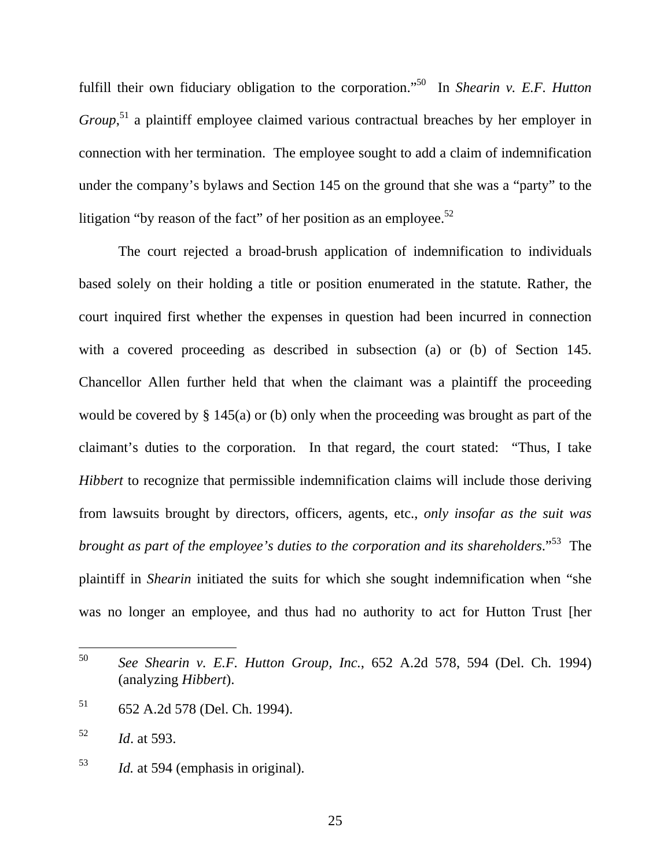fulfill their own fiduciary obligation to the corporation."<sup>50</sup> In *Shearin v. E.F. Hutton Group*,<sup>51</sup> a plaintiff employee claimed various contractual breaches by her employer in connection with her termination. The employee sought to add a claim of indemnification under the company's bylaws and Section 145 on the ground that she was a "party" to the litigation "by reason of the fact" of her position as an employee.<sup>52</sup>

The court rejected a broad-brush application of indemnification to individuals based solely on their holding a title or position enumerated in the statute. Rather, the court inquired first whether the expenses in question had been incurred in connection with a covered proceeding as described in subsection (a) or (b) of Section 145. Chancellor Allen further held that when the claimant was a plaintiff the proceeding would be covered by § 145(a) or (b) only when the proceeding was brought as part of the claimant's duties to the corporation. In that regard, the court stated: "Thus, I take *Hibbert* to recognize that permissible indemnification claims will include those deriving from lawsuits brought by directors, officers, agents, etc., *only insofar as the suit was brought as part of the employee's duties to the corporation and its shareholders*."53 The plaintiff in *Shearin* initiated the suits for which she sought indemnification when "she was no longer an employee, and thus had no authority to act for Hutton Trust [her

<sup>50</sup> See Shearin v. E.F. Hutton Group, Inc., 652 A.2d 578, 594 (Del. Ch. 1994) (analyzing *Hibbert*).

<sup>51 652</sup> A.2d 578 (Del. Ch. 1994).

<sup>52</sup> *Id*. at 593.

<sup>53</sup> *Id.* at 594 (emphasis in original).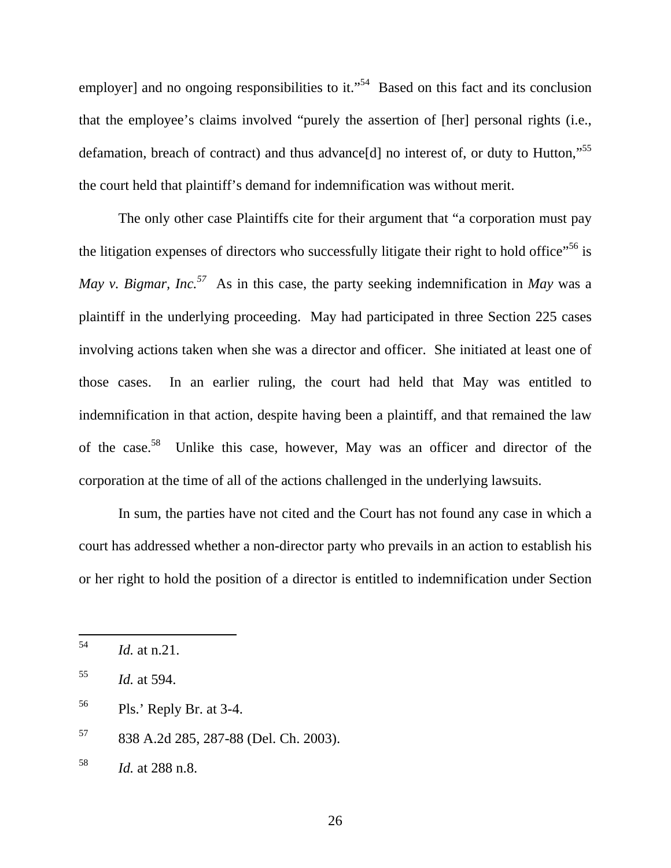employer] and no ongoing responsibilities to it."<sup>54</sup> Based on this fact and its conclusion that the employee's claims involved "purely the assertion of [her] personal rights (i.e., defamation, breach of contract) and thus advance<sup>[d]</sup> no interest of, or duty to Hutton,"<sup>55</sup> the court held that plaintiff's demand for indemnification was without merit.

The only other case Plaintiffs cite for their argument that "a corporation must pay the litigation expenses of directors who successfully litigate their right to hold office"<sup>56</sup> is *May v. Bigmar, Inc.57* As in this case, the party seeking indemnification in *May* was a plaintiff in the underlying proceeding. May had participated in three Section 225 cases involving actions taken when she was a director and officer. She initiated at least one of those cases. In an earlier ruling, the court had held that May was entitled to indemnification in that action, despite having been a plaintiff, and that remained the law of the case.58 Unlike this case, however, May was an officer and director of the corporation at the time of all of the actions challenged in the underlying lawsuits.

In sum, the parties have not cited and the Court has not found any case in which a court has addressed whether a non-director party who prevails in an action to establish his or her right to hold the position of a director is entitled to indemnification under Section

<sup>54</sup> <sup>54</sup> *Id.* at n.21.

<sup>55</sup> *Id.* at 594.

<sup>56</sup> Pls.' Reply Br. at 3-4.

<sup>57 838</sup> A.2d 285, 287-88 (Del. Ch. 2003).

<sup>58</sup> *Id.* at 288 n.8.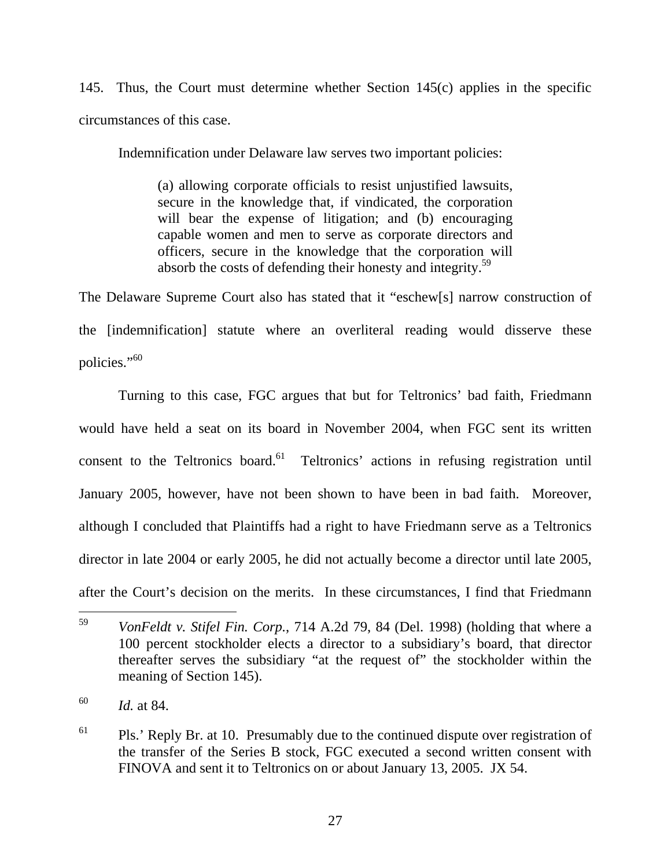145. Thus, the Court must determine whether Section 145(c) applies in the specific circumstances of this case.

Indemnification under Delaware law serves two important policies:

(a) allowing corporate officials to resist unjustified lawsuits, secure in the knowledge that, if vindicated, the corporation will bear the expense of litigation; and (b) encouraging capable women and men to serve as corporate directors and officers, secure in the knowledge that the corporation will absorb the costs of defending their honesty and integrity.59

The Delaware Supreme Court also has stated that it "eschew[s] narrow construction of the [indemnification] statute where an overliteral reading would disserve these policies."<sup>60</sup>

 Turning to this case, FGC argues that but for Teltronics' bad faith, Friedmann would have held a seat on its board in November 2004, when FGC sent its written consent to the Teltronics board.<sup>61</sup> Teltronics' actions in refusing registration until January 2005, however, have not been shown to have been in bad faith. Moreover, although I concluded that Plaintiffs had a right to have Friedmann serve as a Teltronics director in late 2004 or early 2005, he did not actually become a director until late 2005, after the Court's decision on the merits. In these circumstances, I find that Friedmann

<sup>59</sup> <sup>59</sup> *VonFeldt v. Stifel Fin. Corp.*, 714 A.2d 79, 84 (Del. 1998) (holding that where a 100 percent stockholder elects a director to a subsidiary's board, that director thereafter serves the subsidiary "at the request of" the stockholder within the meaning of Section 145).

<sup>60</sup> *Id.* at 84.

 $61$  Pls.' Reply Br. at 10. Presumably due to the continued dispute over registration of the transfer of the Series B stock, FGC executed a second written consent with FINOVA and sent it to Teltronics on or about January 13, 2005. JX 54.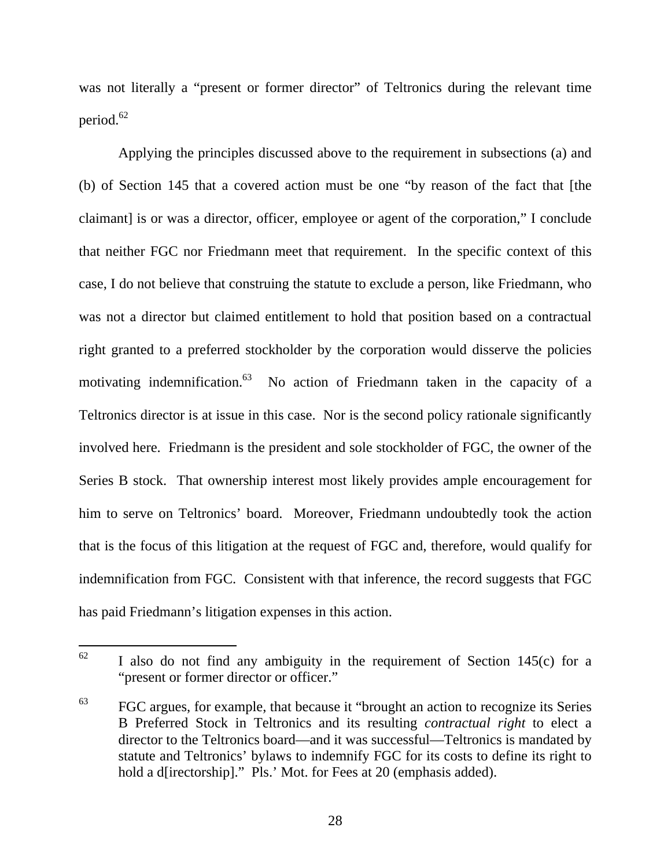was not literally a "present or former director" of Teltronics during the relevant time period.<sup>62</sup>

Applying the principles discussed above to the requirement in subsections (a) and (b) of Section 145 that a covered action must be one "by reason of the fact that [the claimant] is or was a director, officer, employee or agent of the corporation," I conclude that neither FGC nor Friedmann meet that requirement. In the specific context of this case, I do not believe that construing the statute to exclude a person, like Friedmann, who was not a director but claimed entitlement to hold that position based on a contractual right granted to a preferred stockholder by the corporation would disserve the policies motivating indemnification.<sup>63</sup> No action of Friedmann taken in the capacity of a Teltronics director is at issue in this case. Nor is the second policy rationale significantly involved here. Friedmann is the president and sole stockholder of FGC, the owner of the Series B stock. That ownership interest most likely provides ample encouragement for him to serve on Teltronics' board. Moreover, Friedmann undoubtedly took the action that is the focus of this litigation at the request of FGC and, therefore, would qualify for indemnification from FGC. Consistent with that inference, the record suggests that FGC has paid Friedmann's litigation expenses in this action.

<sup>62</sup> I also do not find any ambiguity in the requirement of Section  $145(c)$  for a "present or former director or officer."

 $^{63}$  FGC argues, for example, that because it "brought an action to recognize its Series B Preferred Stock in Teltronics and its resulting *contractual right* to elect a director to the Teltronics board—and it was successful—Teltronics is mandated by statute and Teltronics' bylaws to indemnify FGC for its costs to define its right to hold a d[irectorship]." Pls.' Mot. for Fees at 20 (emphasis added).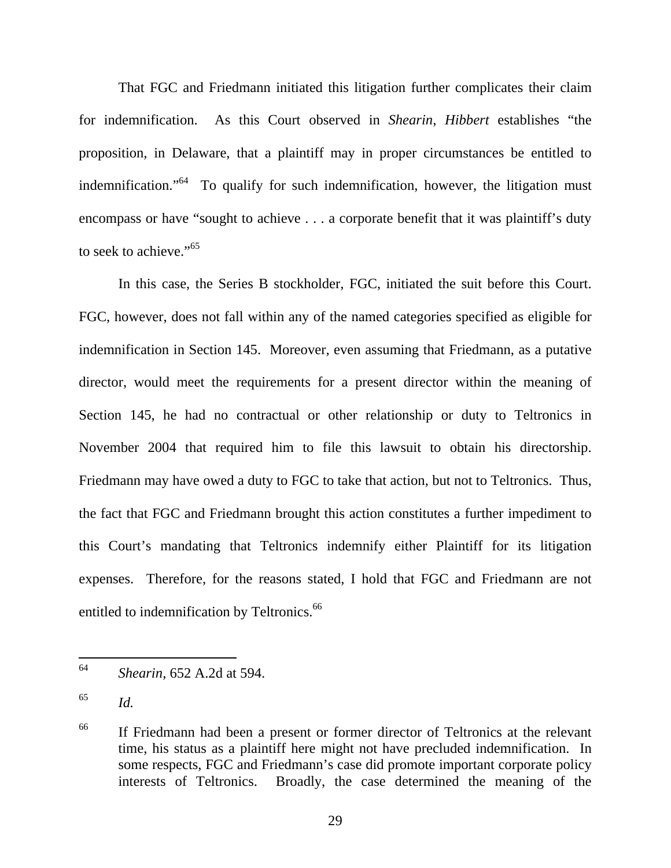That FGC and Friedmann initiated this litigation further complicates their claim for indemnification. As this Court observed in *Shearin*, *Hibbert* establishes "the proposition, in Delaware, that a plaintiff may in proper circumstances be entitled to indemnification."64 To qualify for such indemnification, however, the litigation must encompass or have "sought to achieve . . . a corporate benefit that it was plaintiff's duty to seek to achieve."<sup>65</sup>

In this case, the Series B stockholder, FGC, initiated the suit before this Court. FGC, however, does not fall within any of the named categories specified as eligible for indemnification in Section 145. Moreover, even assuming that Friedmann, as a putative director, would meet the requirements for a present director within the meaning of Section 145, he had no contractual or other relationship or duty to Teltronics in November 2004 that required him to file this lawsuit to obtain his directorship. Friedmann may have owed a duty to FGC to take that action, but not to Teltronics. Thus, the fact that FGC and Friedmann brought this action constitutes a further impediment to this Court's mandating that Teltronics indemnify either Plaintiff for its litigation expenses. Therefore, for the reasons stated, I hold that FGC and Friedmann are not entitled to indemnification by Teltronics.<sup>66</sup>

<sup>64</sup> <sup>64</sup> *Shearin*, 652 A.2d at 594.

<sup>65</sup> *Id.*

<sup>&</sup>lt;sup>66</sup> If Friedmann had been a present or former director of Teltronics at the relevant time, his status as a plaintiff here might not have precluded indemnification. In some respects, FGC and Friedmann's case did promote important corporate policy interests of Teltronics. Broadly, the case determined the meaning of the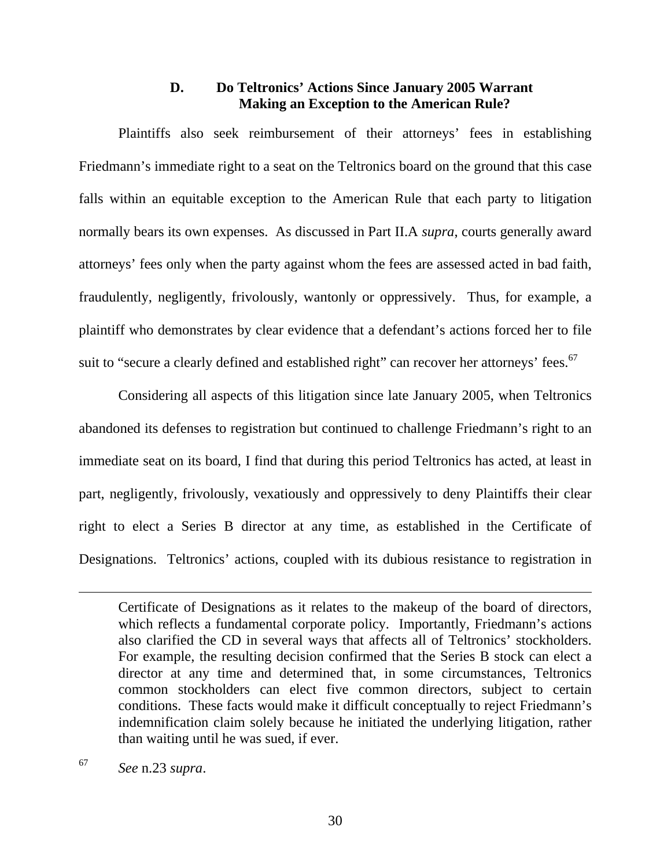## **D. Do Teltronics' Actions Since January 2005 Warrant Making an Exception to the American Rule?**

 Plaintiffs also seek reimbursement of their attorneys' fees in establishing Friedmann's immediate right to a seat on the Teltronics board on the ground that this case falls within an equitable exception to the American Rule that each party to litigation normally bears its own expenses. As discussed in Part II.A *supra*, courts generally award attorneys' fees only when the party against whom the fees are assessed acted in bad faith, fraudulently, negligently, frivolously, wantonly or oppressively. Thus, for example, a plaintiff who demonstrates by clear evidence that a defendant's actions forced her to file suit to "secure a clearly defined and established right" can recover her attorneys' fees.<sup>67</sup>

 Considering all aspects of this litigation since late January 2005, when Teltronics abandoned its defenses to registration but continued to challenge Friedmann's right to an immediate seat on its board, I find that during this period Teltronics has acted, at least in part, negligently, frivolously, vexatiously and oppressively to deny Plaintiffs their clear right to elect a Series B director at any time, as established in the Certificate of Designations. Teltronics' actions, coupled with its dubious resistance to registration in

<sup>67</sup> *See* n.23 *supra*.

Certificate of Designations as it relates to the makeup of the board of directors, which reflects a fundamental corporate policy. Importantly, Friedmann's actions also clarified the CD in several ways that affects all of Teltronics' stockholders. For example, the resulting decision confirmed that the Series B stock can elect a director at any time and determined that, in some circumstances, Teltronics common stockholders can elect five common directors, subject to certain conditions. These facts would make it difficult conceptually to reject Friedmann's indemnification claim solely because he initiated the underlying litigation, rather than waiting until he was sued, if ever.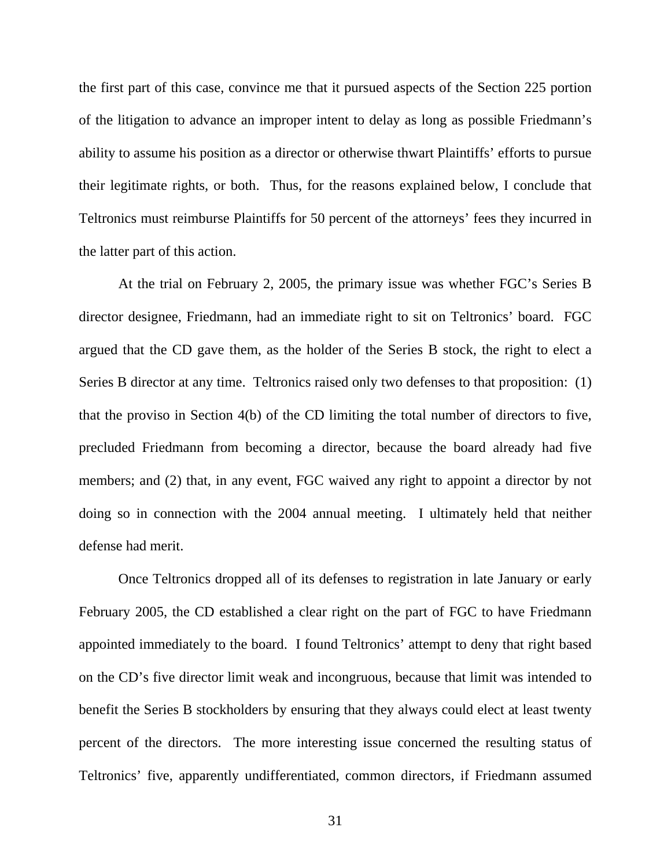the first part of this case, convince me that it pursued aspects of the Section 225 portion of the litigation to advance an improper intent to delay as long as possible Friedmann's ability to assume his position as a director or otherwise thwart Plaintiffs' efforts to pursue their legitimate rights, or both. Thus, for the reasons explained below, I conclude that Teltronics must reimburse Plaintiffs for 50 percent of the attorneys' fees they incurred in the latter part of this action.

 At the trial on February 2, 2005, the primary issue was whether FGC's Series B director designee, Friedmann, had an immediate right to sit on Teltronics' board. FGC argued that the CD gave them, as the holder of the Series B stock, the right to elect a Series B director at any time. Teltronics raised only two defenses to that proposition: (1) that the proviso in Section 4(b) of the CD limiting the total number of directors to five, precluded Friedmann from becoming a director, because the board already had five members; and (2) that, in any event, FGC waived any right to appoint a director by not doing so in connection with the 2004 annual meeting. I ultimately held that neither defense had merit.

 Once Teltronics dropped all of its defenses to registration in late January or early February 2005, the CD established a clear right on the part of FGC to have Friedmann appointed immediately to the board. I found Teltronics' attempt to deny that right based on the CD's five director limit weak and incongruous, because that limit was intended to benefit the Series B stockholders by ensuring that they always could elect at least twenty percent of the directors. The more interesting issue concerned the resulting status of Teltronics' five, apparently undifferentiated, common directors, if Friedmann assumed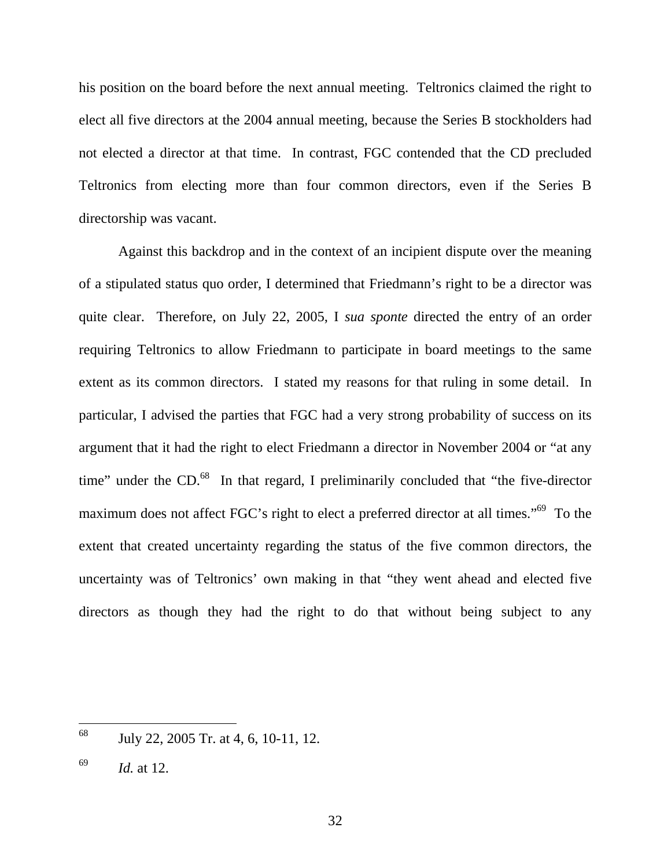his position on the board before the next annual meeting. Teltronics claimed the right to elect all five directors at the 2004 annual meeting, because the Series B stockholders had not elected a director at that time. In contrast, FGC contended that the CD precluded Teltronics from electing more than four common directors, even if the Series B directorship was vacant.

 Against this backdrop and in the context of an incipient dispute over the meaning of a stipulated status quo order, I determined that Friedmann's right to be a director was quite clear. Therefore, on July 22, 2005, I *sua sponte* directed the entry of an order requiring Teltronics to allow Friedmann to participate in board meetings to the same extent as its common directors. I stated my reasons for that ruling in some detail. In particular, I advised the parties that FGC had a very strong probability of success on its argument that it had the right to elect Friedmann a director in November 2004 or "at any time" under the CD.<sup>68</sup> In that regard, I preliminarily concluded that "the five-director" maximum does not affect FGC's right to elect a preferred director at all times."<sup>69</sup> To the extent that created uncertainty regarding the status of the five common directors, the uncertainty was of Teltronics' own making in that "they went ahead and elected five directors as though they had the right to do that without being subject to any

 $\overline{a}$ 

<sup>68</sup> July 22, 2005 Tr. at 4, 6, 10-11, 12.

<sup>69</sup> *Id.* at 12.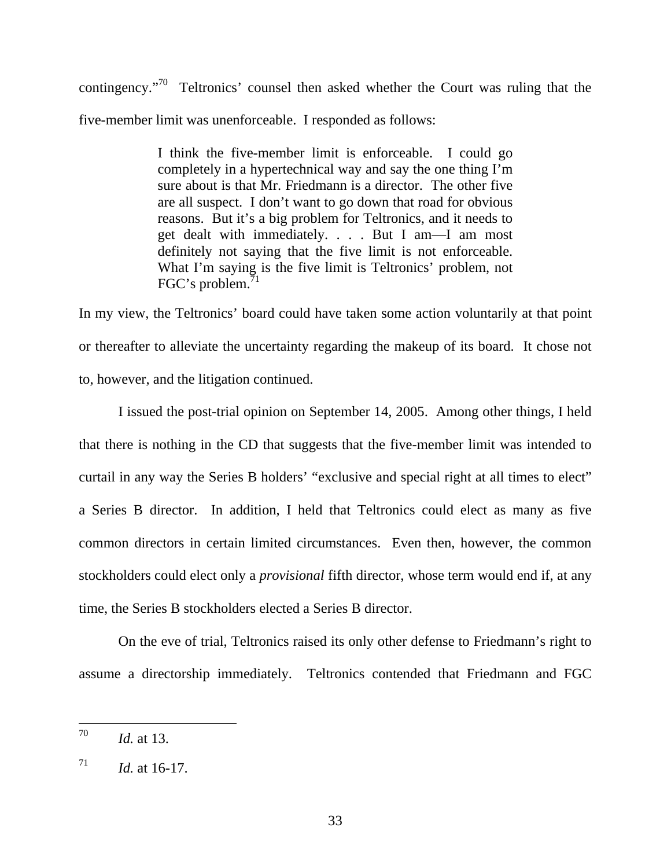contingency."70 Teltronics' counsel then asked whether the Court was ruling that the five-member limit was unenforceable. I responded as follows:

> I think the five-member limit is enforceable. I could go completely in a hypertechnical way and say the one thing I'm sure about is that Mr. Friedmann is a director. The other five are all suspect. I don't want to go down that road for obvious reasons. But it's a big problem for Teltronics, and it needs to get dealt with immediately. . . . But I am—I am most definitely not saying that the five limit is not enforceable. What I'm saying is the five limit is Teltronics' problem, not FGC's problem.<sup>71</sup>

In my view, the Teltronics' board could have taken some action voluntarily at that point or thereafter to alleviate the uncertainty regarding the makeup of its board. It chose not to, however, and the litigation continued.

I issued the post-trial opinion on September 14, 2005. Among other things, I held that there is nothing in the CD that suggests that the five-member limit was intended to curtail in any way the Series B holders' "exclusive and special right at all times to elect" a Series B director. In addition, I held that Teltronics could elect as many as five common directors in certain limited circumstances. Even then, however, the common stockholders could elect only a *provisional* fifth director, whose term would end if, at any time, the Series B stockholders elected a Series B director.

 On the eve of trial, Teltronics raised its only other defense to Friedmann's right to assume a directorship immediately. Teltronics contended that Friedmann and FGC

<sup>70</sup> *Id.* at 13.

 $^{71}$  *Id.* at 16-17.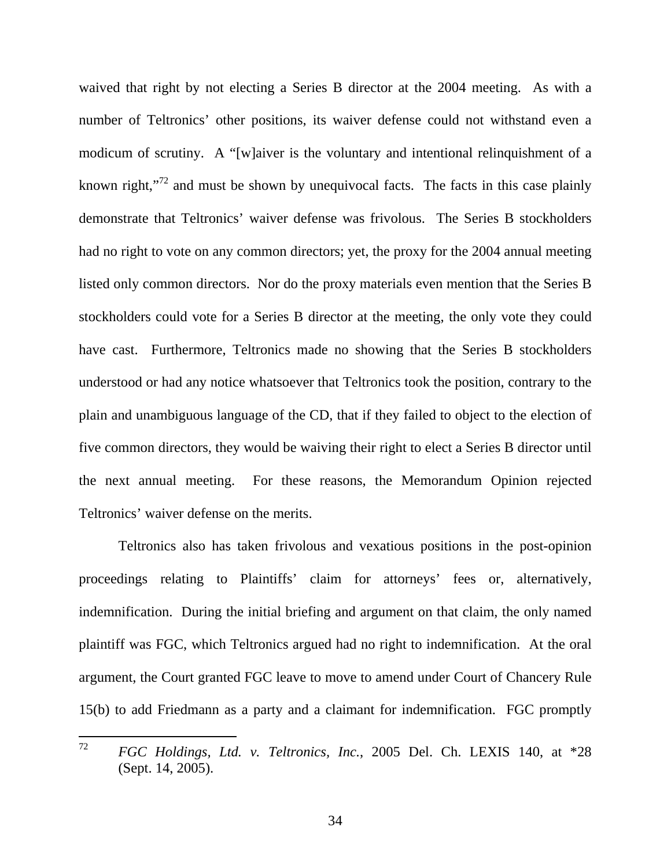waived that right by not electing a Series B director at the 2004 meeting. As with a number of Teltronics' other positions, its waiver defense could not withstand even a modicum of scrutiny. A "[w]aiver is the voluntary and intentional relinquishment of a known right,"<sup>72</sup> and must be shown by unequivocal facts. The facts in this case plainly demonstrate that Teltronics' waiver defense was frivolous. The Series B stockholders had no right to vote on any common directors; yet, the proxy for the 2004 annual meeting listed only common directors. Nor do the proxy materials even mention that the Series B stockholders could vote for a Series B director at the meeting, the only vote they could have cast. Furthermore, Teltronics made no showing that the Series B stockholders understood or had any notice whatsoever that Teltronics took the position, contrary to the plain and unambiguous language of the CD, that if they failed to object to the election of five common directors, they would be waiving their right to elect a Series B director until the next annual meeting. For these reasons, the Memorandum Opinion rejected Teltronics' waiver defense on the merits.

 Teltronics also has taken frivolous and vexatious positions in the post-opinion proceedings relating to Plaintiffs' claim for attorneys' fees or, alternatively, indemnification. During the initial briefing and argument on that claim, the only named plaintiff was FGC, which Teltronics argued had no right to indemnification. At the oral argument, the Court granted FGC leave to move to amend under Court of Chancery Rule 15(b) to add Friedmann as a party and a claimant for indemnification. FGC promptly

 $72$ <sup>72</sup> *FGC Holdings, Ltd. v. Teltronics, Inc.*, 2005 Del. Ch. LEXIS 140, at \*28 (Sept. 14, 2005).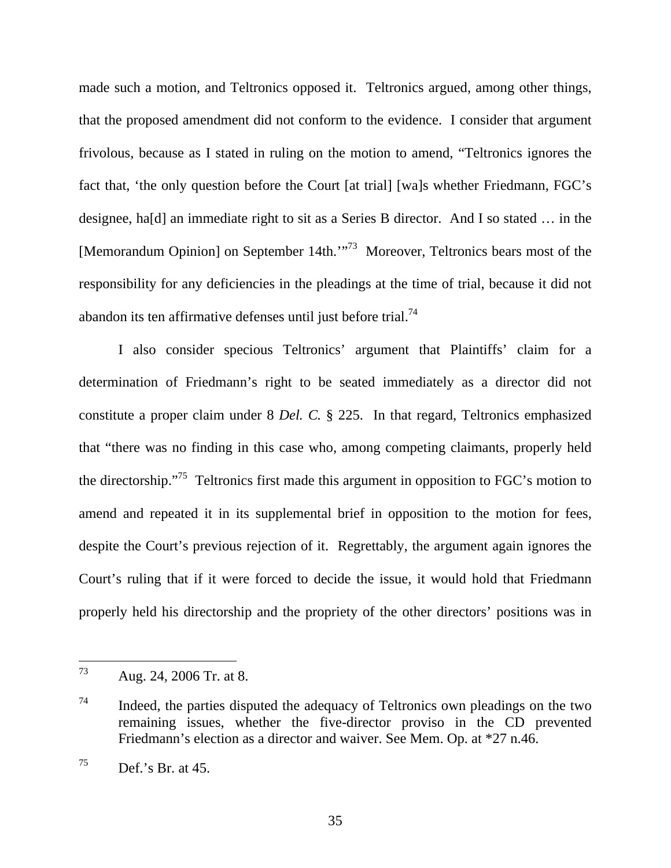made such a motion, and Teltronics opposed it. Teltronics argued, among other things, that the proposed amendment did not conform to the evidence. I consider that argument frivolous, because as I stated in ruling on the motion to amend, "Teltronics ignores the fact that, 'the only question before the Court [at trial] [wa]s whether Friedmann, FGC's designee, ha[d] an immediate right to sit as a Series B director. And I so stated … in the [Memorandum Opinion] on September 14th.'"73 Moreover, Teltronics bears most of the responsibility for any deficiencies in the pleadings at the time of trial, because it did not abandon its ten affirmative defenses until just before trial.74

 I also consider specious Teltronics' argument that Plaintiffs' claim for a determination of Friedmann's right to be seated immediately as a director did not constitute a proper claim under 8 *Del. C.* § 225. In that regard, Teltronics emphasized that "there was no finding in this case who, among competing claimants, properly held the directorship."75 Teltronics first made this argument in opposition to FGC's motion to amend and repeated it in its supplemental brief in opposition to the motion for fees, despite the Court's previous rejection of it. Regrettably, the argument again ignores the Court's ruling that if it were forced to decide the issue, it would hold that Friedmann properly held his directorship and the propriety of the other directors' positions was in

<sup>73</sup> Aug. 24, 2006 Tr. at 8.

<sup>74</sup> Indeed, the parties disputed the adequacy of Teltronics own pleadings on the two remaining issues, whether the five-director proviso in the CD prevented Friedmann's election as a director and waiver. See Mem. Op. at \*27 n.46.

 $^{75}$  Def.'s Br. at 45.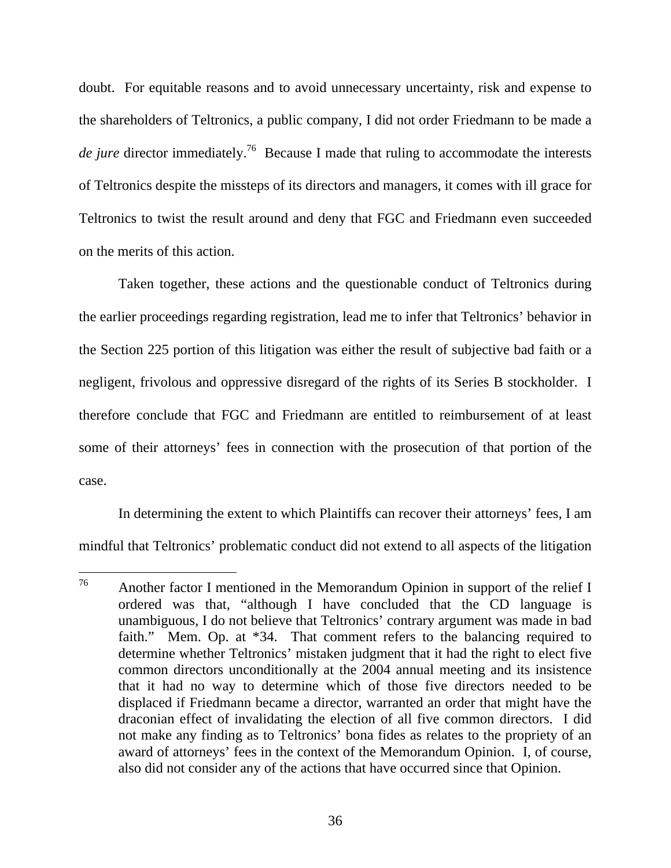doubt. For equitable reasons and to avoid unnecessary uncertainty, risk and expense to the shareholders of Teltronics, a public company, I did not order Friedmann to be made a *de jure* director immediately.<sup>76</sup> Because I made that ruling to accommodate the interests of Teltronics despite the missteps of its directors and managers, it comes with ill grace for Teltronics to twist the result around and deny that FGC and Friedmann even succeeded on the merits of this action.

 Taken together, these actions and the questionable conduct of Teltronics during the earlier proceedings regarding registration, lead me to infer that Teltronics' behavior in the Section 225 portion of this litigation was either the result of subjective bad faith or a negligent, frivolous and oppressive disregard of the rights of its Series B stockholder. I therefore conclude that FGC and Friedmann are entitled to reimbursement of at least some of their attorneys' fees in connection with the prosecution of that portion of the case.

In determining the extent to which Plaintiffs can recover their attorneys' fees, I am mindful that Teltronics' problematic conduct did not extend to all aspects of the litigation

<sup>76</sup> Another factor I mentioned in the Memorandum Opinion in support of the relief I ordered was that, "although I have concluded that the CD language is unambiguous, I do not believe that Teltronics' contrary argument was made in bad faith." Mem. Op. at \*34. That comment refers to the balancing required to determine whether Teltronics' mistaken judgment that it had the right to elect five common directors unconditionally at the 2004 annual meeting and its insistence that it had no way to determine which of those five directors needed to be displaced if Friedmann became a director, warranted an order that might have the draconian effect of invalidating the election of all five common directors. I did not make any finding as to Teltronics' bona fides as relates to the propriety of an award of attorneys' fees in the context of the Memorandum Opinion. I, of course, also did not consider any of the actions that have occurred since that Opinion.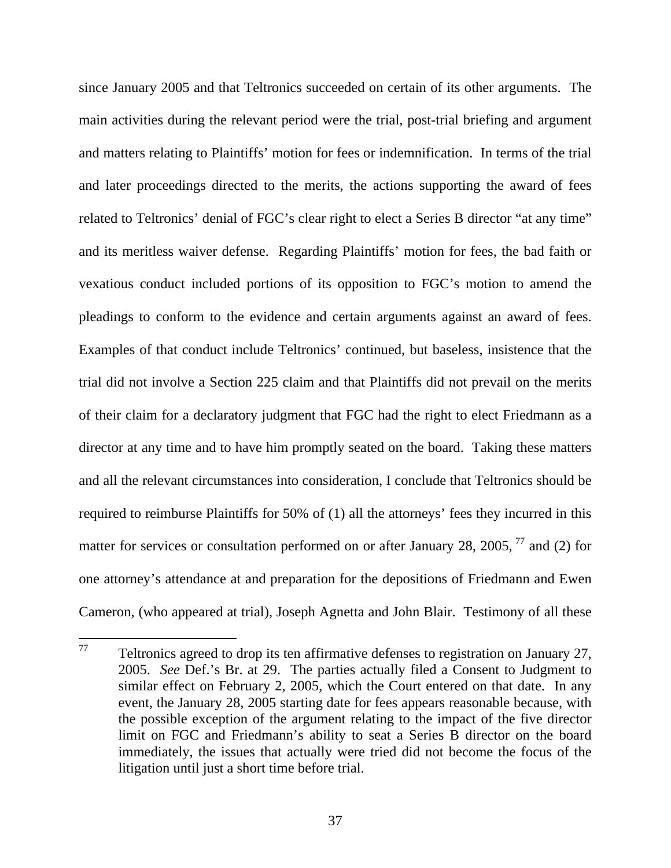since January 2005 and that Teltronics succeeded on certain of its other arguments. The main activities during the relevant period were the trial, post-trial briefing and argument and matters relating to Plaintiffs' motion for fees or indemnification. In terms of the trial and later proceedings directed to the merits, the actions supporting the award of fees related to Teltronics' denial of FGC's clear right to elect a Series B director "at any time" and its meritless waiver defense. Regarding Plaintiffs' motion for fees, the bad faith or vexatious conduct included portions of its opposition to FGC's motion to amend the pleadings to conform to the evidence and certain arguments against an award of fees. Examples of that conduct include Teltronics' continued, but baseless, insistence that the trial did not involve a Section 225 claim and that Plaintiffs did not prevail on the merits of their claim for a declaratory judgment that FGC had the right to elect Friedmann as a director at any time and to have him promptly seated on the board. Taking these matters and all the relevant circumstances into consideration, I conclude that Teltronics should be required to reimburse Plaintiffs for 50% of (1) all the attorneys' fees they incurred in this matter for services or consultation performed on or after January 28, 2005,  $^{77}$  and (2) for one attorney's attendance at and preparation for the depositions of Friedmann and Ewen Cameron, (who appeared at trial), Joseph Agnetta and John Blair. Testimony of all these

<sup>77</sup> Teltronics agreed to drop its ten affirmative defenses to registration on January 27, 2005. *See* Def.'s Br. at 29. The parties actually filed a Consent to Judgment to similar effect on February 2, 2005, which the Court entered on that date. In any event, the January 28, 2005 starting date for fees appears reasonable because, with the possible exception of the argument relating to the impact of the five director limit on FGC and Friedmann's ability to seat a Series B director on the board immediately, the issues that actually were tried did not become the focus of the litigation until just a short time before trial.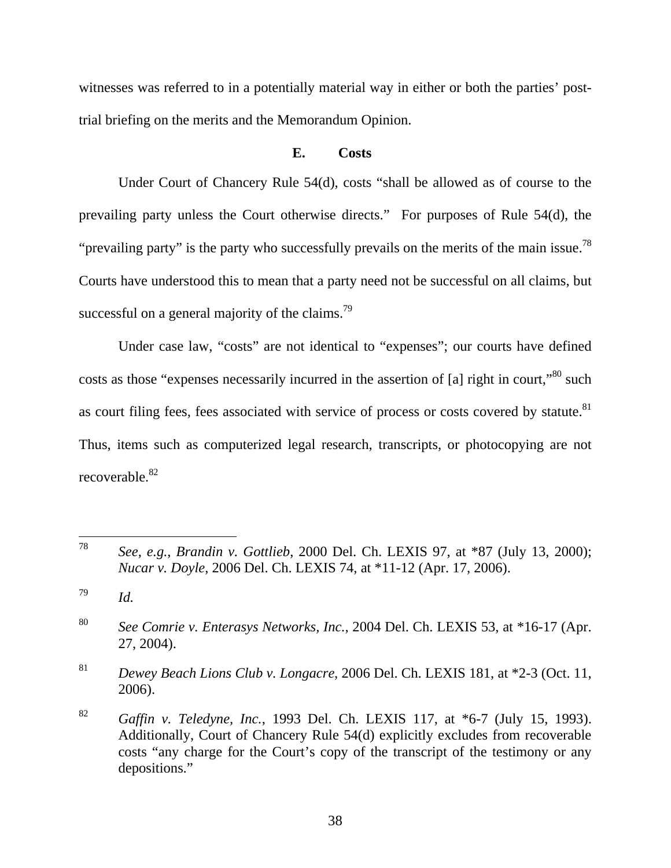witnesses was referred to in a potentially material way in either or both the parties' posttrial briefing on the merits and the Memorandum Opinion.

### **E. Costs**

Under Court of Chancery Rule 54(d), costs "shall be allowed as of course to the prevailing party unless the Court otherwise directs." For purposes of Rule 54(d), the "prevailing party" is the party who successfully prevails on the merits of the main issue.<sup>78</sup> Courts have understood this to mean that a party need not be successful on all claims, but successful on a general majority of the claims.<sup>79</sup>

Under case law, "costs" are not identical to "expenses"; our courts have defined costs as those "expenses necessarily incurred in the assertion of [a] right in court,"<sup>80</sup> such as court filing fees, fees associated with service of process or costs covered by statute.<sup>81</sup> Thus, items such as computerized legal research, transcripts, or photocopying are not recoverable.<sup>82</sup>

 $\overline{a}$ 

<sup>81</sup> *Dewey Beach Lions Club v. Longacre*, 2006 Del. Ch. LEXIS 181, at \*2-3 (Oct. 11, 2006).

<sup>78</sup> *See, e.g.*, *Brandin v. Gottlieb*, 2000 Del. Ch. LEXIS 97, at \*87 (July 13, 2000); *Nucar v. Doyle*, 2006 Del. Ch. LEXIS 74, at \*11-12 (Apr. 17, 2006).

<sup>79</sup> *Id.*

<sup>80</sup> *See Comrie v. Enterasys Networks, Inc.*, 2004 Del. Ch. LEXIS 53, at \*16-17 (Apr. 27, 2004).

<sup>82</sup> *Gaffin v. Teledyne, Inc.*, 1993 Del. Ch. LEXIS 117, at \*6-7 (July 15, 1993). Additionally, Court of Chancery Rule 54(d) explicitly excludes from recoverable costs "any charge for the Court's copy of the transcript of the testimony or any depositions."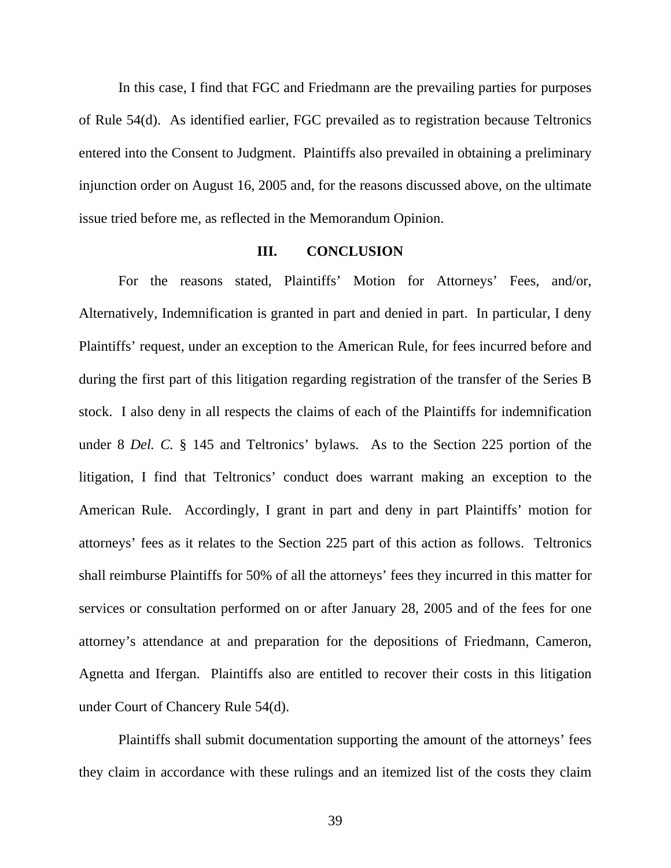In this case, I find that FGC and Friedmann are the prevailing parties for purposes of Rule 54(d). As identified earlier, FGC prevailed as to registration because Teltronics entered into the Consent to Judgment. Plaintiffs also prevailed in obtaining a preliminary injunction order on August 16, 2005 and, for the reasons discussed above, on the ultimate issue tried before me, as reflected in the Memorandum Opinion.

#### **III. CONCLUSION**

 For the reasons stated, Plaintiffs' Motion for Attorneys' Fees, and/or, Alternatively, Indemnification is granted in part and denied in part. In particular, I deny Plaintiffs' request, under an exception to the American Rule, for fees incurred before and during the first part of this litigation regarding registration of the transfer of the Series B stock. I also deny in all respects the claims of each of the Plaintiffs for indemnification under 8 *Del. C.* § 145 and Teltronics' bylaws. As to the Section 225 portion of the litigation, I find that Teltronics' conduct does warrant making an exception to the American Rule. Accordingly, I grant in part and deny in part Plaintiffs' motion for attorneys' fees as it relates to the Section 225 part of this action as follows. Teltronics shall reimburse Plaintiffs for 50% of all the attorneys' fees they incurred in this matter for services or consultation performed on or after January 28, 2005 and of the fees for one attorney's attendance at and preparation for the depositions of Friedmann, Cameron, Agnetta and Ifergan. Plaintiffs also are entitled to recover their costs in this litigation under Court of Chancery Rule 54(d).

 Plaintiffs shall submit documentation supporting the amount of the attorneys' fees they claim in accordance with these rulings and an itemized list of the costs they claim